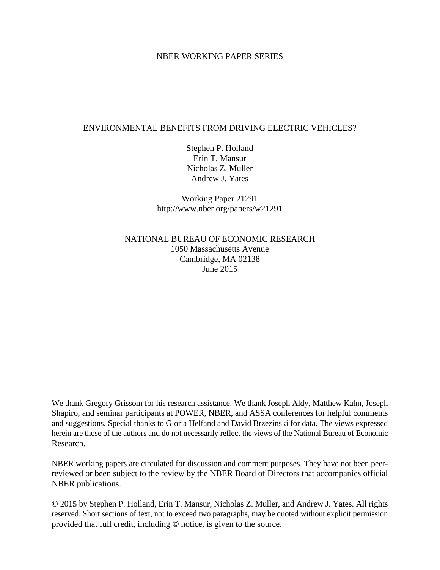#### NBER WORKING PAPER SERIES

#### ENVIRONMENTAL BENEFITS FROM DRIVING ELECTRIC VEHICLES?

Stephen P. Holland Erin T. Mansur Nicholas Z. Muller Andrew J. Yates

Working Paper 21291 http://www.nber.org/papers/w21291

NATIONAL BUREAU OF ECONOMIC RESEARCH 1050 Massachusetts Avenue Cambridge, MA 02138 June 2015

We thank Gregory Grissom for his research assistance. We thank Joseph Aldy, Matthew Kahn, Joseph Shapiro, and seminar participants at POWER, NBER, and ASSA conferences for helpful comments and suggestions. Special thanks to Gloria Helfand and David Brzezinski for data. The views expressed herein are those of the authors and do not necessarily reflect the views of the National Bureau of Economic Research.

NBER working papers are circulated for discussion and comment purposes. They have not been peerreviewed or been subject to the review by the NBER Board of Directors that accompanies official NBER publications.

© 2015 by Stephen P. Holland, Erin T. Mansur, Nicholas Z. Muller, and Andrew J. Yates. All rights reserved. Short sections of text, not to exceed two paragraphs, may be quoted without explicit permission provided that full credit, including © notice, is given to the source.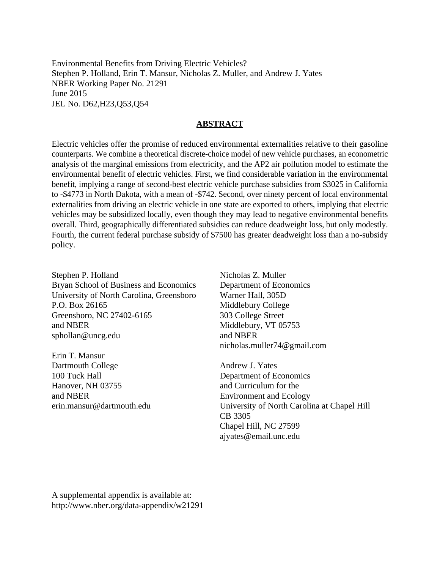Environmental Benefits from Driving Electric Vehicles? Stephen P. Holland, Erin T. Mansur, Nicholas Z. Muller, and Andrew J. Yates NBER Working Paper No. 21291 June 2015 JEL No. D62,H23,Q53,Q54

#### **ABSTRACT**

Electric vehicles offer the promise of reduced environmental externalities relative to their gasoline counterparts. We combine a theoretical discrete-choice model of new vehicle purchases, an econometric analysis of the marginal emissions from electricity, and the AP2 air pollution model to estimate the environmental benefit of electric vehicles. First, we find considerable variation in the environmental benefit, implying a range of second-best electric vehicle purchase subsidies from \$3025 in California to -\$4773 in North Dakota, with a mean of -\$742. Second, over ninety percent of local environmental externalities from driving an electric vehicle in one state are exported to others, implying that electric vehicles may be subsidized locally, even though they may lead to negative environmental benefits overall. Third, geographically differentiated subsidies can reduce deadweight loss, but only modestly. Fourth, the current federal purchase subsidy of \$7500 has greater deadweight loss than a no-subsidy policy.

Stephen P. Holland Bryan School of Business and Economics University of North Carolina, Greensboro P.O. Box 26165 Greensboro, NC 27402-6165 and NBER sphollan@uncg.edu

Erin T. Mansur Dartmouth College 100 Tuck Hall Hanover, NH 03755 and NBER erin.mansur@dartmouth.edu Nicholas Z. Muller Department of Economics Warner Hall, 305D Middlebury College 303 College Street Middlebury, VT 05753 and NBER nicholas.muller74@gmail.com

Andrew J. Yates Department of Economics and Curriculum for the Environment and Ecology University of North Carolina at Chapel Hill CB 3305 Chapel Hill, NC 27599 ajyates@email.unc.edu

A supplemental appendix is available at: http://www.nber.org/data-appendix/w21291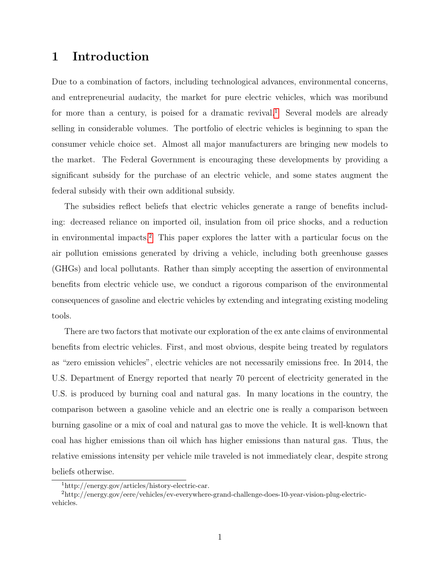## 1 Introduction

Due to a combination of factors, including technological advances, environmental concerns, and entrepreneurial audacity, the market for pure electric vehicles, which was moribund for more than a century, is poised for a dramatic revival.<sup>[1](#page-2-0)</sup> Several models are already selling in considerable volumes. The portfolio of electric vehicles is beginning to span the consumer vehicle choice set. Almost all major manufacturers are bringing new models to the market. The Federal Government is encouraging these developments by providing a significant subsidy for the purchase of an electric vehicle, and some states augment the federal subsidy with their own additional subsidy.

The subsidies reflect beliefs that electric vehicles generate a range of benefits including: decreased reliance on imported oil, insulation from oil price shocks, and a reduction in environmental impacts.[2](#page-2-1) This paper explores the latter with a particular focus on the air pollution emissions generated by driving a vehicle, including both greenhouse gasses (GHGs) and local pollutants. Rather than simply accepting the assertion of environmental benefits from electric vehicle use, we conduct a rigorous comparison of the environmental consequences of gasoline and electric vehicles by extending and integrating existing modeling tools.

There are two factors that motivate our exploration of the ex ante claims of environmental benefits from electric vehicles. First, and most obvious, despite being treated by regulators as "zero emission vehicles", electric vehicles are not necessarily emissions free. In 2014, the U.S. Department of Energy reported that nearly 70 percent of electricity generated in the U.S. is produced by burning coal and natural gas. In many locations in the country, the comparison between a gasoline vehicle and an electric one is really a comparison between burning gasoline or a mix of coal and natural gas to move the vehicle. It is well-known that coal has higher emissions than oil which has higher emissions than natural gas. Thus, the relative emissions intensity per vehicle mile traveled is not immediately clear, despite strong beliefs otherwise.

<span id="page-2-1"></span><span id="page-2-0"></span><sup>1</sup>http://energy.gov/articles/history-electric-car.

<sup>2</sup>http://energy.gov/eere/vehicles/ev-everywhere-grand-challenge-does-10-year-vision-plug-electricvehicles.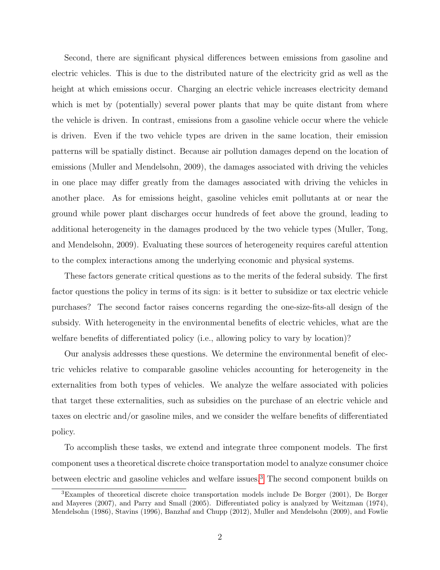Second, there are significant physical differences between emissions from gasoline and electric vehicles. This is due to the distributed nature of the electricity grid as well as the height at which emissions occur. Charging an electric vehicle increases electricity demand which is met by (potentially) several power plants that may be quite distant from where the vehicle is driven. In contrast, emissions from a gasoline vehicle occur where the vehicle is driven. Even if the two vehicle types are driven in the same location, their emission patterns will be spatially distinct. Because air pollution damages depend on the location of emissions (Muller and Mendelsohn, 2009), the damages associated with driving the vehicles in one place may differ greatly from the damages associated with driving the vehicles in another place. As for emissions height, gasoline vehicles emit pollutants at or near the ground while power plant discharges occur hundreds of feet above the ground, leading to additional heterogeneity in the damages produced by the two vehicle types (Muller, Tong, and Mendelsohn, 2009). Evaluating these sources of heterogeneity requires careful attention to the complex interactions among the underlying economic and physical systems.

These factors generate critical questions as to the merits of the federal subsidy. The first factor questions the policy in terms of its sign: is it better to subsidize or tax electric vehicle purchases? The second factor raises concerns regarding the one-size-fits-all design of the subsidy. With heterogeneity in the environmental benefits of electric vehicles, what are the welfare benefits of differentiated policy (i.e., allowing policy to vary by location)?

Our analysis addresses these questions. We determine the environmental benefit of electric vehicles relative to comparable gasoline vehicles accounting for heterogeneity in the externalities from both types of vehicles. We analyze the welfare associated with policies that target these externalities, such as subsidies on the purchase of an electric vehicle and taxes on electric and/or gasoline miles, and we consider the welfare benefits of differentiated policy.

To accomplish these tasks, we extend and integrate three component models. The first component uses a theoretical discrete choice transportation model to analyze consumer choice between electric and gasoline vehicles and welfare issues.[3](#page-3-0) The second component builds on

<span id="page-3-0"></span><sup>3</sup>Examples of theoretical discrete choice transportation models include De Borger (2001), De Borger and Mayeres (2007), and Parry and Small (2005). Differentiated policy is analyzed by Weitzman (1974), Mendelsohn (1986), Stavins (1996), Banzhaf and Chupp (2012), Muller and Mendelsohn (2009), and Fowlie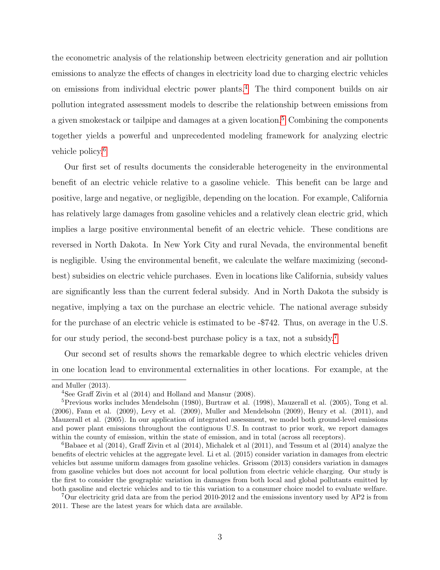the econometric analysis of the relationship between electricity generation and air pollution emissions to analyze the effects of changes in electricity load due to charging electric vehicles on emissions from individual electric power plants.[4](#page-4-0) The third component builds on air pollution integrated assessment models to describe the relationship between emissions from a given smokestack or tailpipe and damages at a given location.[5](#page-4-1) Combining the components together yields a powerful and unprecedented modeling framework for analyzing electric vehicle policy.[6](#page-4-2)

Our first set of results documents the considerable heterogeneity in the environmental benefit of an electric vehicle relative to a gasoline vehicle. This benefit can be large and positive, large and negative, or negligible, depending on the location. For example, California has relatively large damages from gasoline vehicles and a relatively clean electric grid, which implies a large positive environmental benefit of an electric vehicle. These conditions are reversed in North Dakota. In New York City and rural Nevada, the environmental benefit is negligible. Using the environmental benefit, we calculate the welfare maximizing (secondbest) subsidies on electric vehicle purchases. Even in locations like California, subsidy values are significantly less than the current federal subsidy. And in North Dakota the subsidy is negative, implying a tax on the purchase an electric vehicle. The national average subsidy for the purchase of an electric vehicle is estimated to be -\$742. Thus, on average in the U.S. for our study period, the second-best purchase policy is a tax, not a subsidy.[7](#page-4-3)

Our second set of results shows the remarkable degree to which electric vehicles driven in one location lead to environmental externalities in other locations. For example, at the

and Muller (2013).

<span id="page-4-1"></span><span id="page-4-0"></span><sup>4</sup>See Graff Zivin et al (2014) and Holland and Mansur (2008).

 ${}^{5}$ Previous works includes Mendelsohn (1980), Burtraw et al. (1998), Mauzerall et al. (2005), Tong et al. (2006), Fann et al. (2009), Levy et al. (2009), Muller and Mendelsohn (2009), Henry et al. (2011), and Mauzerall et al. (2005). In our application of integrated assessment, we model both ground-level emissions and power plant emissions throughout the contiguous U.S. In contrast to prior work, we report damages within the county of emission, within the state of emission, and in total (across all receptors).

<span id="page-4-2"></span><sup>&</sup>lt;sup>6</sup>Babaee et al (2014), Graff Zivin et al (2014), Michalek et al (2011), and Tessum et al (2014) analyze the benefits of electric vehicles at the aggregate level. Li et al. (2015) consider variation in damages from electric vehicles but assume uniform damages from gasoline vehicles. Grissom (2013) considers variation in damages from gasoline vehicles but does not account for local pollution from electric vehicle charging. Our study is the first to consider the geographic variation in damages from both local and global pollutants emitted by both gasoline and electric vehicles and to tie this variation to a consumer choice model to evaluate welfare.

<span id="page-4-3"></span><sup>&</sup>lt;sup>7</sup>Our electricity grid data are from the period 2010-2012 and the emissions inventory used by AP2 is from 2011. These are the latest years for which data are available.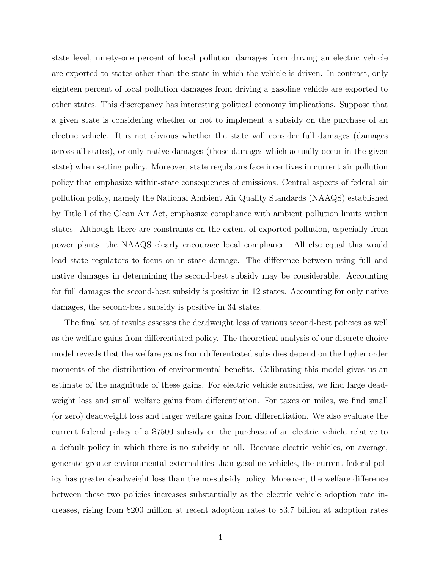state level, ninety-one percent of local pollution damages from driving an electric vehicle are exported to states other than the state in which the vehicle is driven. In contrast, only eighteen percent of local pollution damages from driving a gasoline vehicle are exported to other states. This discrepancy has interesting political economy implications. Suppose that a given state is considering whether or not to implement a subsidy on the purchase of an electric vehicle. It is not obvious whether the state will consider full damages (damages across all states), or only native damages (those damages which actually occur in the given state) when setting policy. Moreover, state regulators face incentives in current air pollution policy that emphasize within-state consequences of emissions. Central aspects of federal air pollution policy, namely the National Ambient Air Quality Standards (NAAQS) established by Title I of the Clean Air Act, emphasize compliance with ambient pollution limits within states. Although there are constraints on the extent of exported pollution, especially from power plants, the NAAQS clearly encourage local compliance. All else equal this would lead state regulators to focus on in-state damage. The difference between using full and native damages in determining the second-best subsidy may be considerable. Accounting for full damages the second-best subsidy is positive in 12 states. Accounting for only native damages, the second-best subsidy is positive in 34 states.

The final set of results assesses the deadweight loss of various second-best policies as well as the welfare gains from differentiated policy. The theoretical analysis of our discrete choice model reveals that the welfare gains from differentiated subsidies depend on the higher order moments of the distribution of environmental benefits. Calibrating this model gives us an estimate of the magnitude of these gains. For electric vehicle subsidies, we find large deadweight loss and small welfare gains from differentiation. For taxes on miles, we find small (or zero) deadweight loss and larger welfare gains from differentiation. We also evaluate the current federal policy of a \$7500 subsidy on the purchase of an electric vehicle relative to a default policy in which there is no subsidy at all. Because electric vehicles, on average, generate greater environmental externalities than gasoline vehicles, the current federal policy has greater deadweight loss than the no-subsidy policy. Moreover, the welfare difference between these two policies increases substantially as the electric vehicle adoption rate increases, rising from \$200 million at recent adoption rates to \$3.7 billion at adoption rates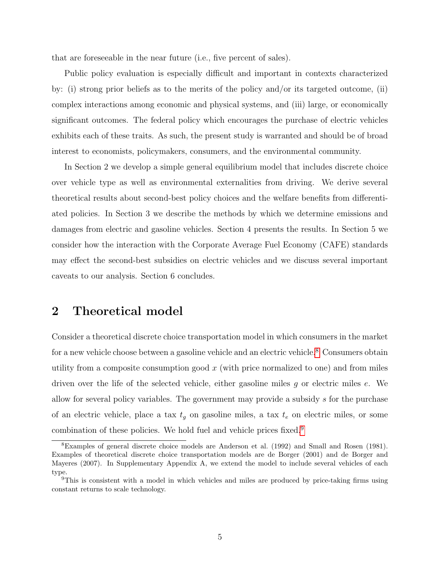that are foreseeable in the near future (i.e., five percent of sales).

Public policy evaluation is especially difficult and important in contexts characterized by: (i) strong prior beliefs as to the merits of the policy and/or its targeted outcome, (ii) complex interactions among economic and physical systems, and (iii) large, or economically significant outcomes. The federal policy which encourages the purchase of electric vehicles exhibits each of these traits. As such, the present study is warranted and should be of broad interest to economists, policymakers, consumers, and the environmental community.

In Section 2 we develop a simple general equilibrium model that includes discrete choice over vehicle type as well as environmental externalities from driving. We derive several theoretical results about second-best policy choices and the welfare benefits from differentiated policies. In Section 3 we describe the methods by which we determine emissions and damages from electric and gasoline vehicles. Section 4 presents the results. In Section 5 we consider how the interaction with the Corporate Average Fuel Economy (CAFE) standards may effect the second-best subsidies on electric vehicles and we discuss several important caveats to our analysis. Section 6 concludes.

## 2 Theoretical model

Consider a theoretical discrete choice transportation model in which consumers in the market for a new vehicle choose between a gasoline vehicle and an electric vehicle.[8](#page-6-0) Consumers obtain utility from a composite consumption good  $x$  (with price normalized to one) and from miles driven over the life of the selected vehicle, either gasoline miles g or electric miles e. We allow for several policy variables. The government may provide a subsidy s for the purchase of an electric vehicle, place a tax  $t_q$  on gasoline miles, a tax  $t_e$  on electric miles, or some combination of these policies. We hold fuel and vehicle prices fixed.[9](#page-6-1)

<span id="page-6-0"></span><sup>8</sup>Examples of general discrete choice models are Anderson et al. (1992) and Small and Rosen (1981). Examples of theoretical discrete choice transportation models are de Borger (2001) and de Borger and Mayeres (2007). In Supplementary Appendix A, we extend the model to include several vehicles of each type.

<span id="page-6-1"></span><sup>9</sup>This is consistent with a model in which vehicles and miles are produced by price-taking firms using constant returns to scale technology.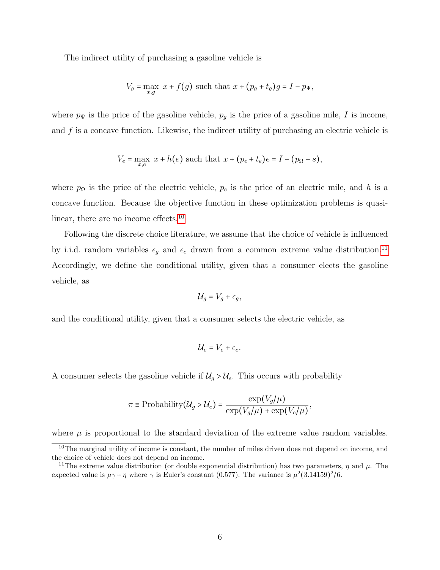The indirect utility of purchasing a gasoline vehicle is

$$
V_g = \max_{x,g} x + f(g)
$$
 such that  $x + (p_g + t_g)g = I - p_{\Psi}$ ,

where  $p_{\Psi}$  is the price of the gasoline vehicle,  $p_g$  is the price of a gasoline mile, I is income, and  $f$  is a concave function. Likewise, the indirect utility of purchasing an electric vehicle is

$$
V_e = \max_{x,e} x + h(e)
$$
 such that  $x + (p_e + t_e)e = I - (p_\Omega - s)$ ,

where  $p_{\Omega}$  is the price of the electric vehicle,  $p_e$  is the price of an electric mile, and h is a concave function. Because the objective function in these optimization problems is quasi-linear, there are no income effects.<sup>[10](#page-7-0)</sup>

Following the discrete choice literature, we assume that the choice of vehicle is influenced by i.i.d. random variables  $\epsilon_g$  and  $\epsilon_e$  drawn from a common extreme value distribution.  $^{11}$  $^{11}$  $^{11}$ Accordingly, we define the conditional utility, given that a consumer elects the gasoline vehicle, as

$$
\mathcal{U}_g = V_g + \epsilon_g,
$$

and the conditional utility, given that a consumer selects the electric vehicle, as

$$
\mathcal{U}_e = V_e + \epsilon_e.
$$

A consumer selects the gasoline vehicle if  $\mathcal{U}_q > \mathcal{U}_e$ . This occurs with probability

$$
\pi \equiv \text{Probability}(\mathcal{U}_g > \mathcal{U}_e) = \frac{\exp(V_g/\mu)}{\exp(V_g/\mu) + \exp(V_e/\mu)}
$$

,

where  $\mu$  is proportional to the standard deviation of the extreme value random variables.

<span id="page-7-0"></span><sup>&</sup>lt;sup>10</sup>The marginal utility of income is constant, the number of miles driven does not depend on income, and the choice of vehicle does not depend on income.

<span id="page-7-1"></span><sup>&</sup>lt;sup>11</sup>The extreme value distribution (or double exponential distribution) has two parameters,  $\eta$  and  $\mu$ . The expected value is  $\mu\gamma + \eta$  where  $\gamma$  is Euler's constant (0.577). The variance is  $\mu^2(3.14159)^2/6$ .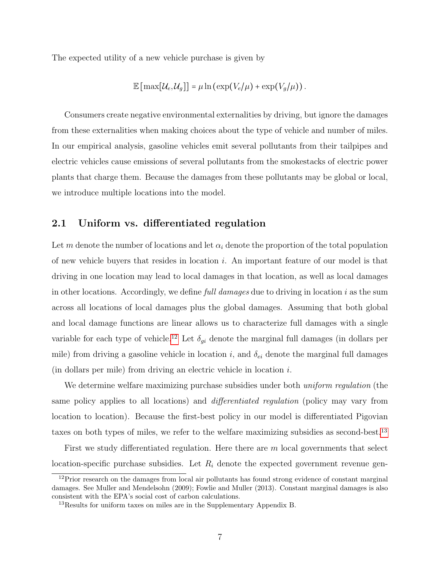The expected utility of a new vehicle purchase is given by

$$
\mathbb{E}\left[\max[U_e, \mathcal{U}_g]\right] = \mu \ln\left(\exp(V_e/\mu) + \exp(V_g/\mu)\right).
$$

Consumers create negative environmental externalities by driving, but ignore the damages from these externalities when making choices about the type of vehicle and number of miles. In our empirical analysis, gasoline vehicles emit several pollutants from their tailpipes and electric vehicles cause emissions of several pollutants from the smokestacks of electric power plants that charge them. Because the damages from these pollutants may be global or local, we introduce multiple locations into the model.

#### 2.1 Uniform vs. differentiated regulation

Let m denote the number of locations and let  $\alpha_i$  denote the proportion of the total population of new vehicle buyers that resides in location i. An important feature of our model is that driving in one location may lead to local damages in that location, as well as local damages in other locations. Accordingly, we define full damages due to driving in location  $i$  as the sum across all locations of local damages plus the global damages. Assuming that both global and local damage functions are linear allows us to characterize full damages with a single variable for each type of vehicle.<sup>[12](#page-8-0)</sup> Let  $\delta_{gi}$  denote the marginal full damages (in dollars per mile) from driving a gasoline vehicle in location i, and  $\delta_{ei}$  denote the marginal full damages (in dollars per mile) from driving an electric vehicle in location i.

We determine welfare maximizing purchase subsidies under both *uniform regulation* (the same policy applies to all locations) and differentiated regulation (policy may vary from location to location). Because the first-best policy in our model is differentiated Pigovian taxes on both types of miles, we refer to the welfare maximizing subsidies as second-best.[13](#page-8-1)

First we study differentiated regulation. Here there are  $m$  local governments that select location-specific purchase subsidies. Let  $R_i$  denote the expected government revenue gen-

<span id="page-8-0"></span><sup>&</sup>lt;sup>12</sup>Prior research on the damages from local air pollutants has found strong evidence of constant marginal damages. See Muller and Mendelsohn (2009); Fowlie and Muller (2013). Constant marginal damages is also consistent with the EPA's social cost of carbon calculations.

<span id="page-8-1"></span> $13$ Results for uniform taxes on miles are in the Supplementary Appendix B.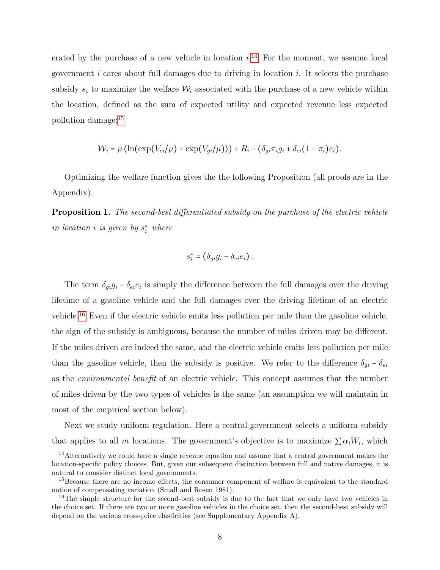erated by the purchase of a new vehicle in location  $i^{14}$  $i^{14}$  $i^{14}$ . For the moment, we assume local government  $i$  cares about full damages due to driving in location  $i$ . It selects the purchase subsidy  $s_i$  to maximize the welfare  $\mathcal{W}_i$  associated with the purchase of a new vehicle within the location, defined as the sum of expected utility and expected revenue less expected pollution damage:[15](#page-9-1)

$$
\mathcal{W}_i = \mu \left( \ln(\exp(V_{ei}/\mu) + \exp(V_{gi}/\mu)) \right) + R_i - (\delta_{gi}\pi_i g_i + \delta_{ei}(1 - \pi_i)e_i).
$$

Optimizing the welfare function gives the the following Proposition (all proofs are in the Appendix).

<span id="page-9-3"></span>**Proposition 1.** The second-best differentiated subsidy on the purchase of the electric vehicle in location *i* is given by  $s_i^*$  where

$$
s_i^* = (\delta_{gi} g_i - \delta_{ei} e_i).
$$

The term  $\delta_{gi}g_i - \delta_{ei}e_i$  is simply the difference between the full damages over the driving lifetime of a gasoline vehicle and the full damages over the driving lifetime of an electric vehicle.[16](#page-9-2) Even if the electric vehicle emits less pollution per mile than the gasoline vehicle, the sign of the subsidy is ambiguous, because the number of miles driven may be different. If the miles driven are indeed the same, and the electric vehicle emits less pollution per mile than the gasoline vehicle, then the subsidy is positive. We refer to the difference  $\delta_{gi} - \delta_{ei}$ as the environmental benefit of an electric vehicle. This concept assumes that the number of miles driven by the two types of vehicles is the same (an assumption we will maintain in most of the empirical section below).

Next we study uniform regulation. Here a central government selects a uniform subsidy that applies to all m locations. The government's objective is to maximize  $\sum \alpha_i W_i$ , which

<span id="page-9-0"></span><sup>&</sup>lt;sup>14</sup>Alternatively we could have a single revenue equation and assume that a central government makes the location-specific policy choices. But, given our subsequent distinction between full and native damages, it is natural to consider distinct local governments.

<span id="page-9-1"></span><sup>&</sup>lt;sup>15</sup>Because there are no income effects, the consumer component of welfare is equivalent to the standard notion of compensating variation (Small and Rosen 1981).

<span id="page-9-2"></span> $16$ The simple structure for the second-best subsidy is due to the fact that we only have two vehicles in the choice set. If there are two or more gasoline vehicles in the choice set, then the second-best subsidy will depend on the various cross-price elasticities (see Supplementary Appendix A).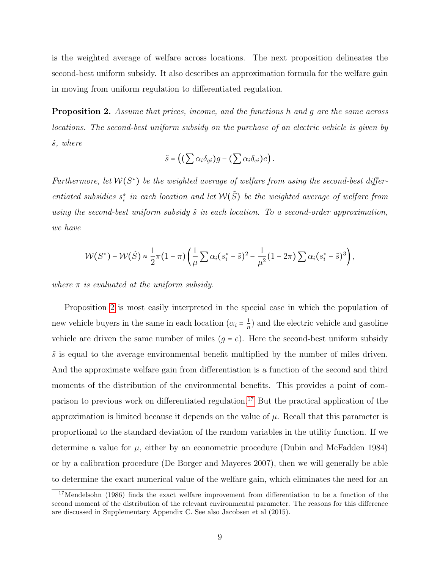is the weighted average of welfare across locations. The next proposition delineates the second-best uniform subsidy. It also describes an approximation formula for the welfare gain in moving from uniform regulation to differentiated regulation.

<span id="page-10-0"></span>**Proposition 2.** Assume that prices, income, and the functions h and q are the same across locations. The second-best uniform subsidy on the purchase of an electric vehicle is given by  $\tilde{s}$ , where

$$
\tilde{s} = \left( \left( \sum \alpha_i \delta_{gi} \right) g - \left( \sum \alpha_i \delta_{ei} \right) e \right).
$$

Furthermore, let  $W(S^*)$  be the weighted average of welfare from using the second-best differentiated subsidies  $s_i^*$  in each location and let  $W(\tilde{S})$  be the weighted average of welfare from using the second-best uniform subsidy  $\tilde{s}$  in each location. To a second-order approximation, we have

$$
\mathcal{W}(S^*) - \mathcal{W}(\tilde{S}) \approx \frac{1}{2}\pi (1-\pi) \left( \frac{1}{\mu} \sum \alpha_i (s_i^* - \tilde{s})^2 - \frac{1}{\mu^2} (1 - 2\pi) \sum \alpha_i (s_i^* - \tilde{s})^3 \right),
$$

where  $\pi$  is evaluated at the uniform subsidy.

Proposition [2](#page-10-0) is most easily interpreted in the special case in which the population of new vehicle buyers in the same in each location  $(\alpha_i = \frac{1}{n})$  $\frac{1}{n}$ ) and the electric vehicle and gasoline vehicle are driven the same number of miles  $(g = e)$ . Here the second-best uniform subsidy  $\tilde{s}$  is equal to the average environmental benefit multiplied by the number of miles driven. And the approximate welfare gain from differentiation is a function of the second and third moments of the distribution of the environmental benefits. This provides a point of comparison to previous work on differentiated regulation.[17](#page-10-1) But the practical application of the approximation is limited because it depends on the value of  $\mu$ . Recall that this parameter is proportional to the standard deviation of the random variables in the utility function. If we determine a value for  $\mu$ , either by an econometric procedure (Dubin and McFadden 1984) or by a calibration procedure (De Borger and Mayeres 2007), then we will generally be able to determine the exact numerical value of the welfare gain, which eliminates the need for an

<span id="page-10-1"></span><sup>&</sup>lt;sup>17</sup>Mendelsohn (1986) finds the exact welfare improvement from differentiation to be a function of the second moment of the distribution of the relevant environmental parameter. The reasons for this difference are discussed in Supplementary Appendix C. See also Jacobsen et al (2015).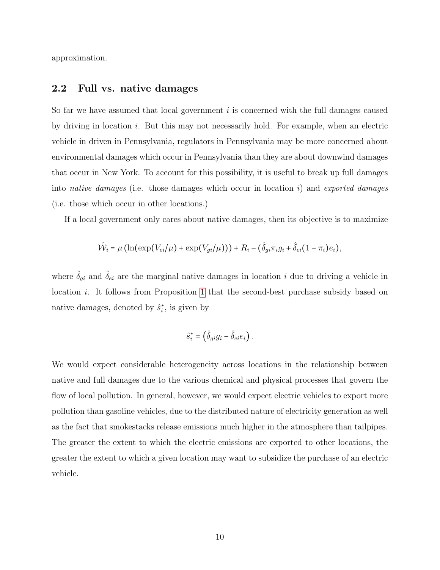approximation.

#### 2.2 Full vs. native damages

So far we have assumed that local government i is concerned with the full damages caused by driving in location  $i$ . But this may not necessarily hold. For example, when an electric vehicle in driven in Pennsylvania, regulators in Pennsylvania may be more concerned about environmental damages which occur in Pennsylvania than they are about downwind damages that occur in New York. To account for this possibility, it is useful to break up full damages into *native damages* (i.e. those damages which occur in location i) and *exported damages* (i.e. those which occur in other locations.)

If a local government only cares about native damages, then its objective is to maximize

$$
\hat{\mathcal{W}}_i = \mu \left( \ln(\exp(V_{ei}/\mu) + \exp(V_{gi}/\mu)) \right) + R_i - (\hat{\delta}_{gi}\pi_i g_i + \hat{\delta}_{ei}(1-\pi_i)e_i),
$$

where  $\hat{\delta}_{gi}$  and  $\hat{\delta}_{ei}$  are the marginal native damages in location i due to driving a vehicle in location *i*. It follows from Proposition [1](#page-9-3) that the second-best purchase subsidy based on native damages, denoted by  $\hat{s}_i^*$ , is given by

$$
\hat{s}_i^* = \left(\hat{\delta}_{gi} g_i - \hat{\delta}_{ei} e_i\right).
$$

We would expect considerable heterogeneity across locations in the relationship between native and full damages due to the various chemical and physical processes that govern the flow of local pollution. In general, however, we would expect electric vehicles to export more pollution than gasoline vehicles, due to the distributed nature of electricity generation as well as the fact that smokestacks release emissions much higher in the atmosphere than tailpipes. The greater the extent to which the electric emissions are exported to other locations, the greater the extent to which a given location may want to subsidize the purchase of an electric vehicle.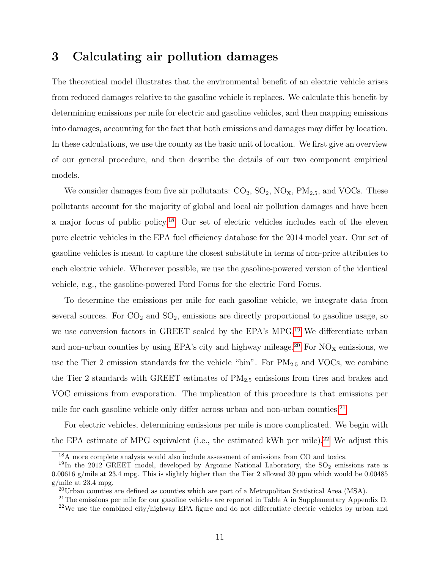### 3 Calculating air pollution damages

The theoretical model illustrates that the environmental benefit of an electric vehicle arises from reduced damages relative to the gasoline vehicle it replaces. We calculate this benefit by determining emissions per mile for electric and gasoline vehicles, and then mapping emissions into damages, accounting for the fact that both emissions and damages may differ by location. In these calculations, we use the county as the basic unit of location. We first give an overview of our general procedure, and then describe the details of our two component empirical models.

We consider damages from five air pollutants:  $CO_2$ ,  $SO_2$ ,  $NO_X$ ,  $PM_{2.5}$ , and VOCs. These pollutants account for the majority of global and local air pollution damages and have been a major focus of public policy.[18](#page-12-0) Our set of electric vehicles includes each of the eleven pure electric vehicles in the EPA fuel efficiency database for the 2014 model year. Our set of gasoline vehicles is meant to capture the closest substitute in terms of non-price attributes to each electric vehicle. Wherever possible, we use the gasoline-powered version of the identical vehicle, e.g., the gasoline-powered Ford Focus for the electric Ford Focus.

To determine the emissions per mile for each gasoline vehicle, we integrate data from several sources. For  $CO_2$  and  $SO_2$ , emissions are directly proportional to gasoline usage, so we use conversion factors in GREET scaled by the EPA's MPG.[19](#page-12-1) We differentiate urban and non-urban counties by using EPA's city and highway mileage.<sup>[20](#page-12-2)</sup> For  $NO<sub>X</sub>$  emissions, we use the Tier 2 emission standards for the vehicle "bin". For  $PM_{2.5}$  and VOCs, we combine the Tier 2 standards with GREET estimates of  $PM_{2.5}$  emissions from tires and brakes and VOC emissions from evaporation. The implication of this procedure is that emissions per mile for each gasoline vehicle only differ across urban and non-urban counties.<sup>[21](#page-12-3)</sup>

For electric vehicles, determining emissions per mile is more complicated. We begin with the EPA estimate of MPG equivalent (i.e., the estimated kWh per mile).[22](#page-12-4) We adjust this

<span id="page-12-1"></span><span id="page-12-0"></span><sup>&</sup>lt;sup>18</sup>A more complete analysis would also include assessment of emissions from CO and toxics.

<sup>&</sup>lt;sup>19</sup>In the 2012 GREET model, developed by Argonne National Laboratory, the  $SO<sub>2</sub>$  emissions rate is 0.00616 g/mile at 23.4 mpg. This is slightly higher than the Tier 2 allowed 30 ppm which would be 0.00485 g/mile at 23.4 mpg.

<span id="page-12-2"></span> $^{20}$ Urban counties are defined as counties which are part of a Metropolitan Statistical Area (MSA).

<span id="page-12-4"></span><span id="page-12-3"></span> $21$ <sup>21</sup>The emissions per mile for our gasoline vehicles are reported in Table A in Supplementary Appendix D.  $22$ We use the combined city/highway EPA figure and do not differentiate electric vehicles by urban and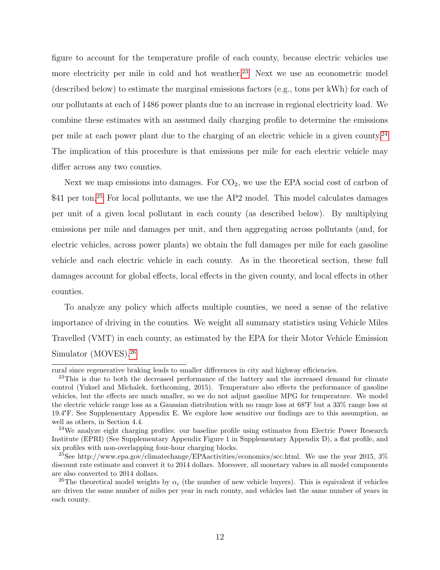figure to account for the temperature profile of each county, because electric vehicles use more electricity per mile in cold and hot weather.<sup>[23](#page-13-0)</sup> Next we use an econometric model (described below) to estimate the marginal emissions factors (e.g., tons per kWh) for each of our pollutants at each of 1486 power plants due to an increase in regional electricity load. We combine these estimates with an assumed daily charging profile to determine the emissions per mile at each power plant due to the charging of an electric vehicle in a given county.[24](#page-13-1) The implication of this procedure is that emissions per mile for each electric vehicle may differ across any two counties.

Next we map emissions into damages. For  $CO<sub>2</sub>$ , we use the EPA social cost of carbon of \$41 per ton.<sup>[25](#page-13-2)</sup> For local pollutants, we use the AP2 model. This model calculates damages per unit of a given local pollutant in each county (as described below). By multiplying emissions per mile and damages per unit, and then aggregating across pollutants (and, for electric vehicles, across power plants) we obtain the full damages per mile for each gasoline vehicle and each electric vehicle in each county. As in the theoretical section, these full damages account for global effects, local effects in the given county, and local effects in other counties.

To analyze any policy which affects multiple counties, we need a sense of the relative importance of driving in the counties. We weight all summary statistics using Vehicle Miles Travelled (VMT) in each county, as estimated by the EPA for their Motor Vehicle Emission Simulator (MOVES).[26](#page-13-3)

rural since regenerative braking leads to smaller differences in city and highway efficiencies.

<span id="page-13-0"></span><sup>&</sup>lt;sup>23</sup>This is due to both the decreased performance of the battery and the increased demand for climate control (Yuksel and Michalek, forthcoming, 2015). Temperature also effects the performance of gasoline vehicles, but the effects are much smaller, so we do not adjust gasoline MPG for temperature. We model the electric vehicle range loss as a Gaussian distribution with no range loss at 68°F but a 33% range loss at 19.4°F. See Supplementary Appendix E. We explore how sensitive our findings are to this assumption, as well as others, in Section 4.4.

<span id="page-13-1"></span><sup>&</sup>lt;sup>24</sup>We analyze eight charging profiles: our baseline profile using estimates from Electric Power Research Institute (EPRI) (See Supplementary Appendix Figure 1 in Supplementary Appendix D), a flat profile, and six profiles with non-overlapping four-hour charging blocks.

<span id="page-13-2"></span><sup>25</sup>See http://www.epa.gov/climatechange/EPAactivities/economics/scc.html. We use the year 2015, 3% discount rate estimate and convert it to 2014 dollars. Moreover, all monetary values in all model components are also converted to 2014 dollars.

<span id="page-13-3"></span><sup>&</sup>lt;sup>26</sup>The theoretical model weights by  $\alpha_i$  (the number of new vehicle buyers). This is equivalent if vehicles are driven the same number of miles per year in each county, and vehicles last the same number of years in each county.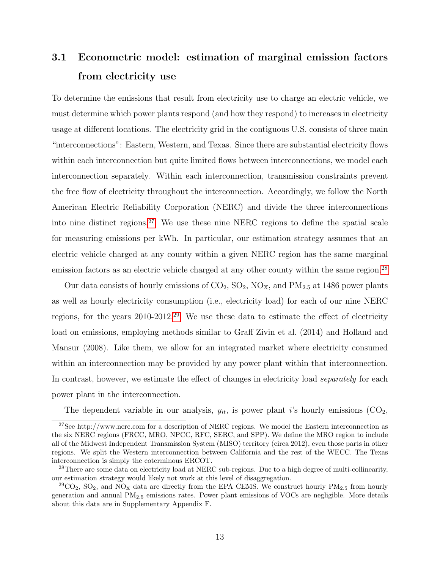# 3.1 Econometric model: estimation of marginal emission factors from electricity use

To determine the emissions that result from electricity use to charge an electric vehicle, we must determine which power plants respond (and how they respond) to increases in electricity usage at different locations. The electricity grid in the contiguous U.S. consists of three main "interconnections": Eastern, Western, and Texas. Since there are substantial electricity flows within each interconnection but quite limited flows between interconnections, we model each interconnection separately. Within each interconnection, transmission constraints prevent the free flow of electricity throughout the interconnection. Accordingly, we follow the North American Electric Reliability Corporation (NERC) and divide the three interconnections into nine distinct regions.[27](#page-14-0) We use these nine NERC regions to define the spatial scale for measuring emissions per kWh. In particular, our estimation strategy assumes that an electric vehicle charged at any county within a given NERC region has the same marginal emission factors as an electric vehicle charged at any other county within the same region.<sup>[28](#page-14-1)</sup>

Our data consists of hourly emissions of  $CO_2$ ,  $SO_2$ ,  $NO_{X}$ , and  $PM_{2.5}$  at 1486 power plants as well as hourly electricity consumption (i.e., electricity load) for each of our nine NERC regions, for the years 2010-2012.[29](#page-14-2) We use these data to estimate the effect of electricity load on emissions, employing methods similar to Graff Zivin et al. (2014) and Holland and Mansur (2008). Like them, we allow for an integrated market where electricity consumed within an interconnection may be provided by any power plant within that interconnection. In contrast, however, we estimate the effect of changes in electricity load *separately* for each power plant in the interconnection.

<span id="page-14-0"></span>The dependent variable in our analysis,  $y_{it}$ , is power plant is hourly emissions (CO<sub>2</sub>,

 $27$ See http://www.nerc.com for a description of NERC regions. We model the Eastern interconnection as the six NERC regions (FRCC, MRO, NPCC, RFC, SERC, and SPP). We define the MRO region to include all of the Midwest Independent Transmission System (MISO) territory (circa 2012), even those parts in other regions. We split the Western interconnection between California and the rest of the WECC. The Texas interconnection is simply the coterminous ERCOT.

<span id="page-14-1"></span><sup>&</sup>lt;sup>28</sup>There are some data on electricity load at NERC sub-regions. Due to a high degree of multi-collinearity, our estimation strategy would likely not work at this level of disaggregation.

<span id="page-14-2"></span><sup>&</sup>lt;sup>29</sup>CO<sub>2</sub>, SO<sub>2</sub>, and NO<sub>x</sub> data are directly from the EPA CEMS. We construct hourly PM<sub>2.5</sub> from hourly generation and annual PM2.<sup>5</sup> emissions rates. Power plant emissions of VOCs are negligible. More details about this data are in Supplementary Appendix F.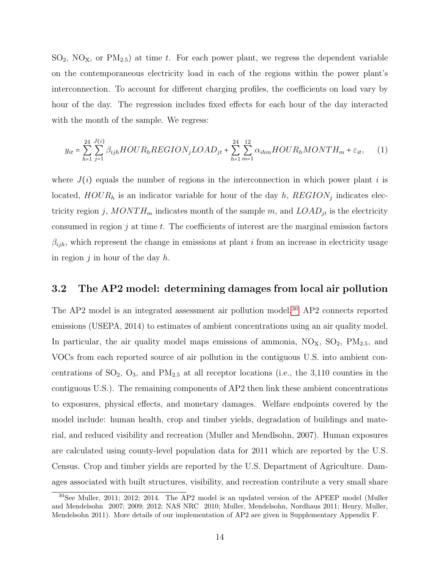$SO_2$ ,  $NO_X$ , or  $PM_{2.5}$ ) at time t. For each power plant, we regress the dependent variable on the contemporaneous electricity load in each of the regions within the power plant's interconnection. To account for different charging profiles, the coefficients on load vary by hour of the day. The regression includes fixed effects for each hour of the day interacted with the month of the sample. We regress:

$$
y_{it} = \sum_{h=1}^{24} \sum_{j=1}^{J(i)} \beta_{ijh} HOUR_hREGION_j LOAD_{jt} + \sum_{h=1}^{24} \sum_{m=1}^{12} \alpha_{ihm} HOUR_hMONTH_m + \varepsilon_{it}, \qquad (1)
$$

where  $J(i)$  equals the number of regions in the interconnection in which power plant i is located,  $HOUR_h$  is an indicator variable for hour of the day h,  $REGION_j$  indicates electricity region j,  $MONTH_m$  indicates month of the sample m, and  $LOAD_{jt}$  is the electricity consumed in region  $j$  at time  $t$ . The coefficients of interest are the marginal emission factors  $\beta_{ijh}$ , which represent the change in emissions at plant *i* from an increase in electricity usage in region  $i$  in hour of the day  $h$ .

#### 3.2 The AP2 model: determining damages from local air pollution

The AP2 model is an integrated assessment air pollution model.[30](#page-15-0) AP2 connects reported emissions (USEPA, 2014) to estimates of ambient concentrations using an air quality model. In particular, the air quality model maps emissions of ammonia,  $NO<sub>x</sub>$ ,  $SO<sub>2</sub>$ ,  $PM<sub>2.5</sub>$ , and VOCs from each reported source of air pollution in the contiguous U.S. into ambient concentrations of  $SO_2$ ,  $O_3$ , and  $PM_{2.5}$  at all receptor locations (i.e., the 3,110 counties in the contiguous U.S.). The remaining components of AP2 then link these ambient concentrations to exposures, physical effects, and monetary damages. Welfare endpoints covered by the model include: human health, crop and timber yields, degradation of buildings and material, and reduced visibility and recreation (Muller and Mendlsohn, 2007). Human exposures are calculated using county-level population data for 2011 which are reported by the U.S. Census. Crop and timber yields are reported by the U.S. Department of Agriculture. Damages associated with built structures, visibility, and recreation contribute a very small share

<span id="page-15-0"></span><sup>30</sup>See Muller, 2011; 2012; 2014. The AP2 model is an updated version of the APEEP model (Muller and Mendelsohn 2007; 2009; 2012; NAS NRC 2010; Muller, Mendelsohn, Nordhaus 2011; Henry, Muller, Mendelsohn 2011). More details of our implementation of AP2 are given in Supplementary Appendix F.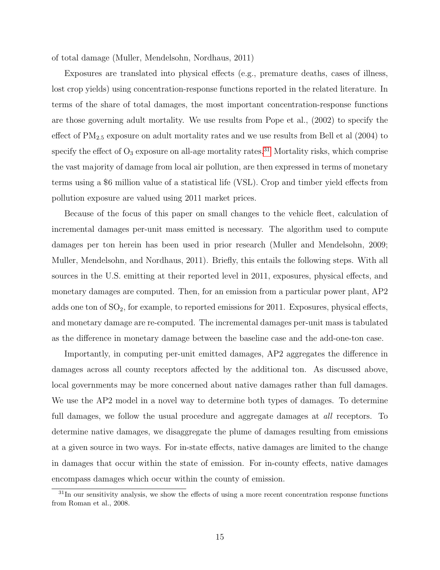of total damage (Muller, Mendelsohn, Nordhaus, 2011)

Exposures are translated into physical effects (e.g., premature deaths, cases of illness, lost crop yields) using concentration-response functions reported in the related literature. In terms of the share of total damages, the most important concentration-response functions are those governing adult mortality. We use results from Pope et al., (2002) to specify the effect of  $PM_{2.5}$  exposure on adult mortality rates and we use results from Bell et al  $(2004)$  to specify the effect of  $O_3$  exposure on all-age mortality rates.<sup>[31](#page-16-0)</sup> Mortality risks, which comprise the vast majority of damage from local air pollution, are then expressed in terms of monetary terms using a \$6 million value of a statistical life (VSL). Crop and timber yield effects from pollution exposure are valued using 2011 market prices.

Because of the focus of this paper on small changes to the vehicle fleet, calculation of incremental damages per-unit mass emitted is necessary. The algorithm used to compute damages per ton herein has been used in prior research (Muller and Mendelsohn, 2009; Muller, Mendelsohn, and Nordhaus, 2011). Briefly, this entails the following steps. With all sources in the U.S. emitting at their reported level in 2011, exposures, physical effects, and monetary damages are computed. Then, for an emission from a particular power plant, AP2 adds one ton of  $SO_2$ , for example, to reported emissions for 2011. Exposures, physical effects, and monetary damage are re-computed. The incremental damages per-unit mass is tabulated as the difference in monetary damage between the baseline case and the add-one-ton case.

Importantly, in computing per-unit emitted damages, AP2 aggregates the difference in damages across all county receptors affected by the additional ton. As discussed above, local governments may be more concerned about native damages rather than full damages. We use the AP2 model in a novel way to determine both types of damages. To determine full damages, we follow the usual procedure and aggregate damages at *all* receptors. To determine native damages, we disaggregate the plume of damages resulting from emissions at a given source in two ways. For in-state effects, native damages are limited to the change in damages that occur within the state of emission. For in-county effects, native damages encompass damages which occur within the county of emission.

<span id="page-16-0"></span> $31$ In our sensitivity analysis, we show the effects of using a more recent concentration response functions from Roman et al., 2008.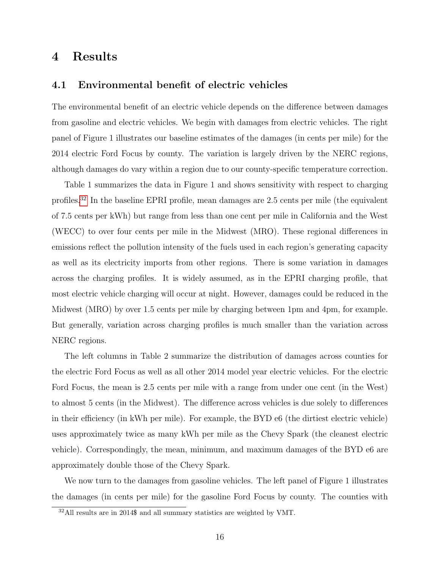### 4 Results

#### 4.1 Environmental benefit of electric vehicles

The environmental benefit of an electric vehicle depends on the difference between damages from gasoline and electric vehicles. We begin with damages from electric vehicles. The right panel of Figure 1 illustrates our baseline estimates of the damages (in cents per mile) for the 2014 electric Ford Focus by county. The variation is largely driven by the NERC regions, although damages do vary within a region due to our county-specific temperature correction.

Table 1 summarizes the data in Figure 1 and shows sensitivity with respect to charging profiles.[32](#page-17-0) In the baseline EPRI profile, mean damages are 2.5 cents per mile (the equivalent of 7.5 cents per kWh) but range from less than one cent per mile in California and the West (WECC) to over four cents per mile in the Midwest (MRO). These regional differences in emissions reflect the pollution intensity of the fuels used in each region's generating capacity as well as its electricity imports from other regions. There is some variation in damages across the charging profiles. It is widely assumed, as in the EPRI charging profile, that most electric vehicle charging will occur at night. However, damages could be reduced in the Midwest (MRO) by over 1.5 cents per mile by charging between 1pm and 4pm, for example. But generally, variation across charging profiles is much smaller than the variation across NERC regions.

The left columns in Table 2 summarize the distribution of damages across counties for the electric Ford Focus as well as all other 2014 model year electric vehicles. For the electric Ford Focus, the mean is 2.5 cents per mile with a range from under one cent (in the West) to almost 5 cents (in the Midwest). The difference across vehicles is due solely to differences in their efficiency (in kWh per mile). For example, the BYD e6 (the dirtiest electric vehicle) uses approximately twice as many kWh per mile as the Chevy Spark (the cleanest electric vehicle). Correspondingly, the mean, minimum, and maximum damages of the BYD e6 are approximately double those of the Chevy Spark.

We now turn to the damages from gasoline vehicles. The left panel of Figure 1 illustrates the damages (in cents per mile) for the gasoline Ford Focus by county. The counties with

<span id="page-17-0"></span><sup>32</sup>All results are in 2014\$ and all summary statistics are weighted by VMT.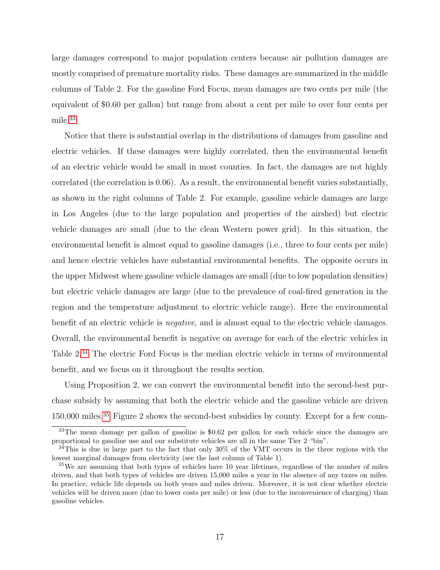large damages correspond to major population centers because air pollution damages are mostly comprised of premature mortality risks. These damages are summarized in the middle columns of Table 2. For the gasoline Ford Focus, mean damages are two cents per mile (the equivalent of \$0.60 per gallon) but range from about a cent per mile to over four cents per mile.[33](#page-18-0)

Notice that there is substantial overlap in the distributions of damages from gasoline and electric vehicles. If these damages were highly correlated, then the environmental benefit of an electric vehicle would be small in most counties. In fact, the damages are not highly correlated (the correlation is 0.06). As a result, the environmental benefit varies substantially, as shown in the right columns of Table 2. For example, gasoline vehicle damages are large in Los Angeles (due to the large population and properties of the airshed) but electric vehicle damages are small (due to the clean Western power grid). In this situation, the environmental benefit is almost equal to gasoline damages (i.e., three to four cents per mile) and hence electric vehicles have substantial environmental benefits. The opposite occurs in the upper Midwest where gasoline vehicle damages are small (due to low population densities) but electric vehicle damages are large (due to the prevalence of coal-fired generation in the region and the temperature adjustment to electric vehicle range). Here the environmental benefit of an electric vehicle is negative, and is almost equal to the electric vehicle damages. Overall, the environmental benefit is negative on average for each of the electric vehicles in Table 2.[34](#page-18-1) The electric Ford Focus is the median electric vehicle in terms of environmental benefit, and we focus on it throughout the results section.

Using Proposition 2, we can convert the environmental benefit into the second-best purchase subsidy by assuming that both the electric vehicle and the gasoline vehicle are driven 150,000 miles.[35](#page-18-2) Figure 2 shows the second-best subsidies by county. Except for a few coun-

<span id="page-18-0"></span><sup>&</sup>lt;sup>33</sup>The mean damage per gallon of gasoline is \$0.62 per gallon for each vehicle since the damages are proportional to gasoline use and our substitute vehicles are all in the same Tier 2 "bin".

<span id="page-18-1"></span><sup>34</sup>This is due in large part to the fact that only 30% of the VMT occurs in the three regions with the lowest marginal damages from electricity (see the last column of Table 1).

<span id="page-18-2"></span><sup>&</sup>lt;sup>35</sup>We are assuming that both types of vehicles have 10 year lifetimes, regardless of the number of miles driven, and that both types of vehicles are driven 15,000 miles a year in the absence of any taxes on miles. In practice, vehicle life depends on both years and miles driven. Moreover, it is not clear whether electric vehicles will be driven more (due to lower costs per mile) or less (due to the inconvenience of charging) than gasoline vehicles.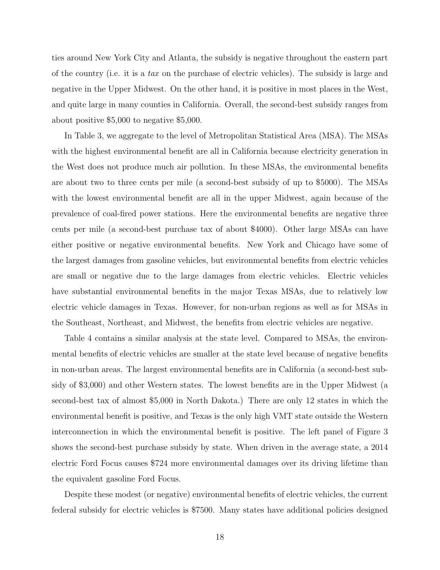ties around New York City and Atlanta, the subsidy is negative throughout the eastern part of the country (i.e. it is a tax on the purchase of electric vehicles). The subsidy is large and negative in the Upper Midwest. On the other hand, it is positive in most places in the West, and quite large in many counties in California. Overall, the second-best subsidy ranges from about positive \$5,000 to negative \$5,000.

In Table 3, we aggregate to the level of Metropolitan Statistical Area (MSA). The MSAs with the highest environmental benefit are all in California because electricity generation in the West does not produce much air pollution. In these MSAs, the environmental benefits are about two to three cents per mile (a second-best subsidy of up to \$5000). The MSAs with the lowest environmental benefit are all in the upper Midwest, again because of the prevalence of coal-fired power stations. Here the environmental benefits are negative three cents per mile (a second-best purchase tax of about \$4000). Other large MSAs can have either positive or negative environmental benefits. New York and Chicago have some of the largest damages from gasoline vehicles, but environmental benefits from electric vehicles are small or negative due to the large damages from electric vehicles. Electric vehicles have substantial environmental benefits in the major Texas MSAs, due to relatively low electric vehicle damages in Texas. However, for non-urban regions as well as for MSAs in the Southeast, Northeast, and Midwest, the benefits from electric vehicles are negative.

Table 4 contains a similar analysis at the state level. Compared to MSAs, the environmental benefits of electric vehicles are smaller at the state level because of negative benefits in non-urban areas. The largest environmental benefits are in California (a second-best subsidy of \$3,000) and other Western states. The lowest benefits are in the Upper Midwest (a second-best tax of almost \$5,000 in North Dakota.) There are only 12 states in which the environmental benefit is positive, and Texas is the only high VMT state outside the Western interconnection in which the environmental benefit is positive. The left panel of Figure 3 shows the second-best purchase subsidy by state. When driven in the average state, a 2014 electric Ford Focus causes \$724 more environmental damages over its driving lifetime than the equivalent gasoline Ford Focus.

Despite these modest (or negative) environmental benefits of electric vehicles, the current federal subsidy for electric vehicles is \$7500. Many states have additional policies designed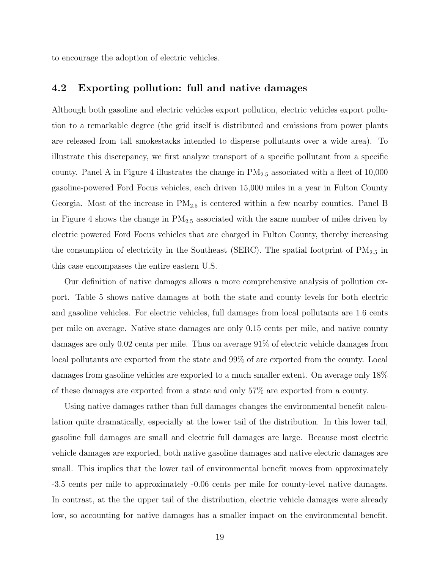to encourage the adoption of electric vehicles.

#### 4.2 Exporting pollution: full and native damages

Although both gasoline and electric vehicles export pollution, electric vehicles export pollution to a remarkable degree (the grid itself is distributed and emissions from power plants are released from tall smokestacks intended to disperse pollutants over a wide area). To illustrate this discrepancy, we first analyze transport of a specific pollutant from a specific county. Panel A in Figure 4 illustrates the change in  $PM_{2.5}$  associated with a fleet of 10,000 gasoline-powered Ford Focus vehicles, each driven 15,000 miles in a year in Fulton County Georgia. Most of the increase in  $PM_{2.5}$  is centered within a few nearby counties. Panel B in Figure 4 shows the change in  $PM_{2.5}$  associated with the same number of miles driven by electric powered Ford Focus vehicles that are charged in Fulton County, thereby increasing the consumption of electricity in the Southeast (SERC). The spatial footprint of  $PM_{2.5}$  in this case encompasses the entire eastern U.S.

Our definition of native damages allows a more comprehensive analysis of pollution export. Table 5 shows native damages at both the state and county levels for both electric and gasoline vehicles. For electric vehicles, full damages from local pollutants are 1.6 cents per mile on average. Native state damages are only 0.15 cents per mile, and native county damages are only 0.02 cents per mile. Thus on average 91% of electric vehicle damages from local pollutants are exported from the state and 99% of are exported from the county. Local damages from gasoline vehicles are exported to a much smaller extent. On average only 18% of these damages are exported from a state and only 57% are exported from a county.

Using native damages rather than full damages changes the environmental benefit calculation quite dramatically, especially at the lower tail of the distribution. In this lower tail, gasoline full damages are small and electric full damages are large. Because most electric vehicle damages are exported, both native gasoline damages and native electric damages are small. This implies that the lower tail of environmental benefit moves from approximately -3.5 cents per mile to approximately -0.06 cents per mile for county-level native damages. In contrast, at the the upper tail of the distribution, electric vehicle damages were already low, so accounting for native damages has a smaller impact on the environmental benefit.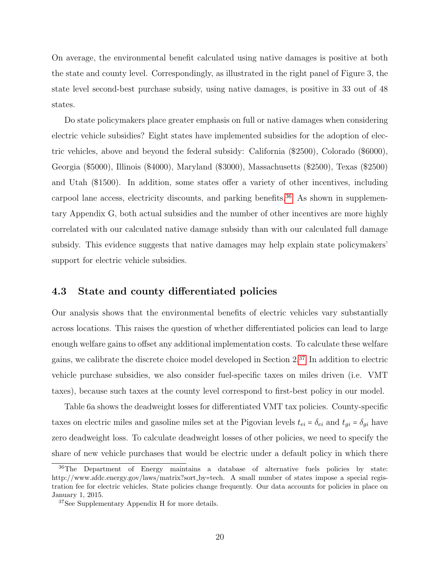On average, the environmental benefit calculated using native damages is positive at both the state and county level. Correspondingly, as illustrated in the right panel of Figure 3, the state level second-best purchase subsidy, using native damages, is positive in 33 out of 48 states.

Do state policymakers place greater emphasis on full or native damages when considering electric vehicle subsidies? Eight states have implemented subsidies for the adoption of electric vehicles, above and beyond the federal subsidy: California (\$2500), Colorado (\$6000), Georgia (\$5000), Illinois (\$4000), Maryland (\$3000), Massachusetts (\$2500), Texas (\$2500) and Utah (\$1500). In addition, some states offer a variety of other incentives, including carpool lane access, electricity discounts, and parking benefits.<sup>[36](#page-21-0)</sup> As shown in supplementary Appendix G, both actual subsidies and the number of other incentives are more highly correlated with our calculated native damage subsidy than with our calculated full damage subsidy. This evidence suggests that native damages may help explain state policymakers' support for electric vehicle subsidies.

#### 4.3 State and county differentiated policies

Our analysis shows that the environmental benefits of electric vehicles vary substantially across locations. This raises the question of whether differentiated policies can lead to large enough welfare gains to offset any additional implementation costs. To calculate these welfare gains, we calibrate the discrete choice model developed in Section 2.[37](#page-21-1) In addition to electric vehicle purchase subsidies, we also consider fuel-specific taxes on miles driven (i.e. VMT taxes), because such taxes at the county level correspond to first-best policy in our model.

Table 6a shows the deadweight losses for differentiated VMT tax policies. County-specific taxes on electric miles and gasoline miles set at the Pigovian levels  $t_{ei} = \delta_{ei}$  and  $t_{gi} = \delta_{gi}$  have zero deadweight loss. To calculate deadweight losses of other policies, we need to specify the share of new vehicle purchases that would be electric under a default policy in which there

<span id="page-21-0"></span><sup>&</sup>lt;sup>36</sup>The Department of Energy maintains a database of alternative fuels policies by state: http://www.afdc.energy.gov/laws/matrix?sort\_by=tech. A small number of states impose a special registration fee for electric vehicles. State policies change frequently. Our data accounts for policies in place on January 1, 2015.

<span id="page-21-1"></span><sup>37</sup>See Supplementary Appendix H for more details.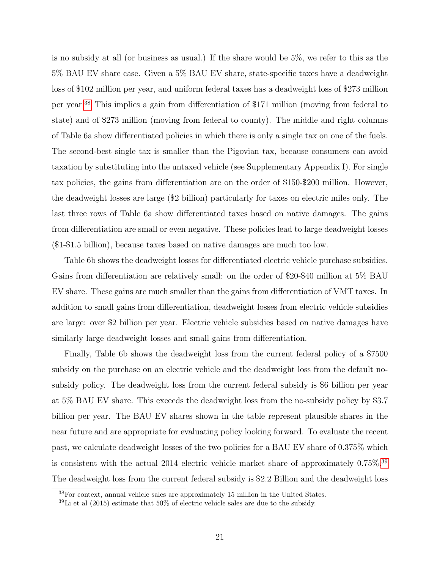is no subsidy at all (or business as usual.) If the share would be 5%, we refer to this as the 5% BAU EV share case. Given a 5% BAU EV share, state-specific taxes have a deadweight loss of \$102 million per year, and uniform federal taxes has a deadweight loss of \$273 million per year.[38](#page-22-0) This implies a gain from differentiation of \$171 million (moving from federal to state) and of \$273 million (moving from federal to county). The middle and right columns of Table 6a show differentiated policies in which there is only a single tax on one of the fuels. The second-best single tax is smaller than the Pigovian tax, because consumers can avoid taxation by substituting into the untaxed vehicle (see Supplementary Appendix I). For single tax policies, the gains from differentiation are on the order of \$150-\$200 million. However, the deadweight losses are large (\$2 billion) particularly for taxes on electric miles only. The last three rows of Table 6a show differentiated taxes based on native damages. The gains from differentiation are small or even negative. These policies lead to large deadweight losses (\$1-\$1.5 billion), because taxes based on native damages are much too low.

Table 6b shows the deadweight losses for differentiated electric vehicle purchase subsidies. Gains from differentiation are relatively small: on the order of \$20-\$40 million at 5% BAU EV share. These gains are much smaller than the gains from differentiation of VMT taxes. In addition to small gains from differentiation, deadweight losses from electric vehicle subsidies are large: over \$2 billion per year. Electric vehicle subsidies based on native damages have similarly large deadweight losses and small gains from differentiation.

Finally, Table 6b shows the deadweight loss from the current federal policy of a \$7500 subsidy on the purchase on an electric vehicle and the deadweight loss from the default nosubsidy policy. The deadweight loss from the current federal subsidy is \$6 billion per year at 5% BAU EV share. This exceeds the deadweight loss from the no-subsidy policy by \$3.7 billion per year. The BAU EV shares shown in the table represent plausible shares in the near future and are appropriate for evaluating policy looking forward. To evaluate the recent past, we calculate deadweight losses of the two policies for a BAU EV share of 0.375% which is consistent with the actual 2014 electric vehicle market share of approximately 0.75%.[39](#page-22-1) The deadweight loss from the current federal subsidy is \$2.2 Billion and the deadweight loss

<span id="page-22-0"></span><sup>38</sup>For context, annual vehicle sales are approximately 15 million in the United States.

<span id="page-22-1"></span> $39$ Li et al (2015) estimate that  $50\%$  of electric vehicle sales are due to the subsidy.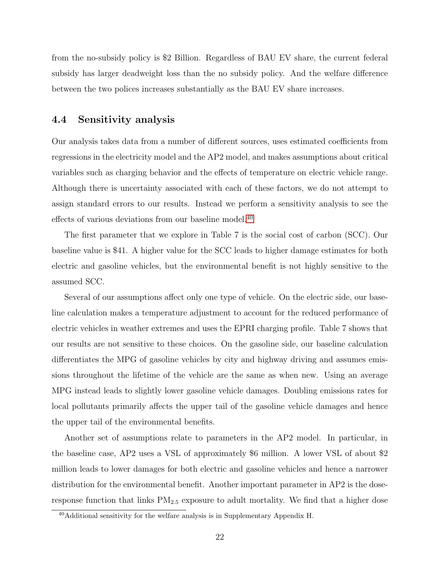from the no-subsidy policy is \$2 Billion. Regardless of BAU EV share, the current federal subsidy has larger deadweight loss than the no subsidy policy. And the welfare difference between the two polices increases substantially as the BAU EV share increases.

#### 4.4 Sensitivity analysis

Our analysis takes data from a number of different sources, uses estimated coefficients from regressions in the electricity model and the AP2 model, and makes assumptions about critical variables such as charging behavior and the effects of temperature on electric vehicle range. Although there is uncertainty associated with each of these factors, we do not attempt to assign standard errors to our results. Instead we perform a sensitivity analysis to see the effects of various deviations from our baseline model.[40](#page-23-0)

The first parameter that we explore in Table 7 is the social cost of carbon (SCC). Our baseline value is \$41. A higher value for the SCC leads to higher damage estimates for both electric and gasoline vehicles, but the environmental benefit is not highly sensitive to the assumed SCC.

Several of our assumptions affect only one type of vehicle. On the electric side, our baseline calculation makes a temperature adjustment to account for the reduced performance of electric vehicles in weather extremes and uses the EPRI charging profile. Table 7 shows that our results are not sensitive to these choices. On the gasoline side, our baseline calculation differentiates the MPG of gasoline vehicles by city and highway driving and assumes emissions throughout the lifetime of the vehicle are the same as when new. Using an average MPG instead leads to slightly lower gasoline vehicle damages. Doubling emissions rates for local pollutants primarily affects the upper tail of the gasoline vehicle damages and hence the upper tail of the environmental benefits.

Another set of assumptions relate to parameters in the AP2 model. In particular, in the baseline case, AP2 uses a VSL of approximately \$6 million. A lower VSL of about \$2 million leads to lower damages for both electric and gasoline vehicles and hence a narrower distribution for the environmental benefit. Another important parameter in AP2 is the doseresponse function that links  $PM_{2.5}$  exposure to adult mortality. We find that a higher dose

<span id="page-23-0"></span> $40$ Additional sensitivity for the welfare analysis is in Supplementary Appendix H.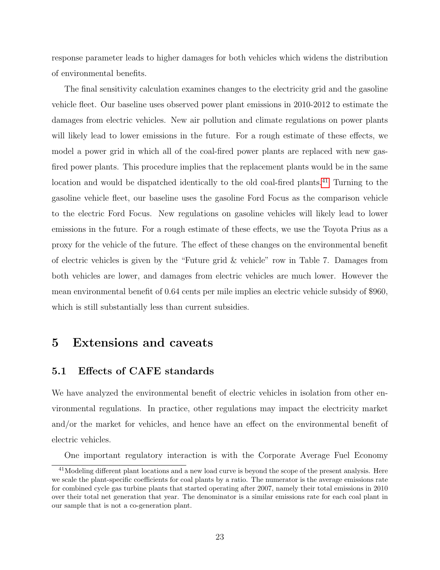response parameter leads to higher damages for both vehicles which widens the distribution of environmental benefits.

The final sensitivity calculation examines changes to the electricity grid and the gasoline vehicle fleet. Our baseline uses observed power plant emissions in 2010-2012 to estimate the damages from electric vehicles. New air pollution and climate regulations on power plants will likely lead to lower emissions in the future. For a rough estimate of these effects, we model a power grid in which all of the coal-fired power plants are replaced with new gasfired power plants. This procedure implies that the replacement plants would be in the same location and would be dispatched identically to the old coal-fired plants.[41](#page-24-0) Turning to the gasoline vehicle fleet, our baseline uses the gasoline Ford Focus as the comparison vehicle to the electric Ford Focus. New regulations on gasoline vehicles will likely lead to lower emissions in the future. For a rough estimate of these effects, we use the Toyota Prius as a proxy for the vehicle of the future. The effect of these changes on the environmental benefit of electric vehicles is given by the "Future grid & vehicle" row in Table 7. Damages from both vehicles are lower, and damages from electric vehicles are much lower. However the mean environmental benefit of 0.64 cents per mile implies an electric vehicle subsidy of \$960, which is still substantially less than current subsidies.

## 5 Extensions and caveats

#### 5.1 Effects of CAFE standards

We have analyzed the environmental benefit of electric vehicles in isolation from other environmental regulations. In practice, other regulations may impact the electricity market and/or the market for vehicles, and hence have an effect on the environmental benefit of electric vehicles.

One important regulatory interaction is with the Corporate Average Fuel Economy

<span id="page-24-0"></span><sup>&</sup>lt;sup>41</sup>Modeling different plant locations and a new load curve is beyond the scope of the present analysis. Here we scale the plant-specific coefficients for coal plants by a ratio. The numerator is the average emissions rate for combined cycle gas turbine plants that started operating after 2007, namely their total emissions in 2010 over their total net generation that year. The denominator is a similar emissions rate for each coal plant in our sample that is not a co-generation plant.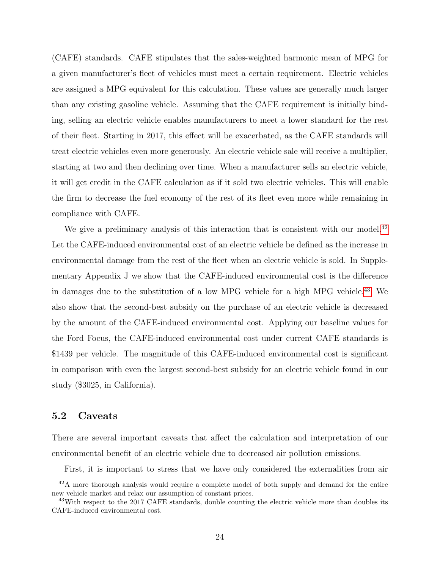(CAFE) standards. CAFE stipulates that the sales-weighted harmonic mean of MPG for a given manufacturer's fleet of vehicles must meet a certain requirement. Electric vehicles are assigned a MPG equivalent for this calculation. These values are generally much larger than any existing gasoline vehicle. Assuming that the CAFE requirement is initially binding, selling an electric vehicle enables manufacturers to meet a lower standard for the rest of their fleet. Starting in 2017, this effect will be exacerbated, as the CAFE standards will treat electric vehicles even more generously. An electric vehicle sale will receive a multiplier, starting at two and then declining over time. When a manufacturer sells an electric vehicle, it will get credit in the CAFE calculation as if it sold two electric vehicles. This will enable the firm to decrease the fuel economy of the rest of its fleet even more while remaining in compliance with CAFE.

We give a preliminary analysis of this interaction that is consistent with our model.<sup>[42](#page-25-0)</sup> Let the CAFE-induced environmental cost of an electric vehicle be defined as the increase in environmental damage from the rest of the fleet when an electric vehicle is sold. In Supplementary Appendix J we show that the CAFE-induced environmental cost is the difference in damages due to the substitution of a low MPG vehicle for a high MPG vehicle.[43](#page-25-1) We also show that the second-best subsidy on the purchase of an electric vehicle is decreased by the amount of the CAFE-induced environmental cost. Applying our baseline values for the Ford Focus, the CAFE-induced environmental cost under current CAFE standards is \$1439 per vehicle. The magnitude of this CAFE-induced environmental cost is significant in comparison with even the largest second-best subsidy for an electric vehicle found in our study (\$3025, in California).

#### 5.2 Caveats

There are several important caveats that affect the calculation and interpretation of our environmental benefit of an electric vehicle due to decreased air pollution emissions.

<span id="page-25-0"></span>First, it is important to stress that we have only considered the externalities from air

<sup>&</sup>lt;sup>42</sup>A more thorough analysis would require a complete model of both supply and demand for the entire new vehicle market and relax our assumption of constant prices.

<span id="page-25-1"></span><sup>&</sup>lt;sup>43</sup>With respect to the 2017 CAFE standards, double counting the electric vehicle more than doubles its CAFE-induced environmental cost.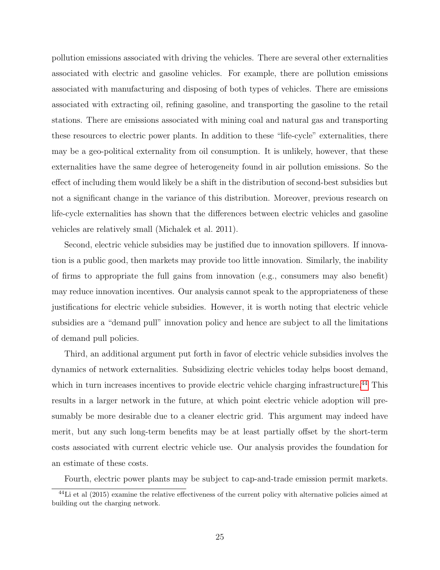pollution emissions associated with driving the vehicles. There are several other externalities associated with electric and gasoline vehicles. For example, there are pollution emissions associated with manufacturing and disposing of both types of vehicles. There are emissions associated with extracting oil, refining gasoline, and transporting the gasoline to the retail stations. There are emissions associated with mining coal and natural gas and transporting these resources to electric power plants. In addition to these "life-cycle" externalities, there may be a geo-political externality from oil consumption. It is unlikely, however, that these externalities have the same degree of heterogeneity found in air pollution emissions. So the effect of including them would likely be a shift in the distribution of second-best subsidies but not a significant change in the variance of this distribution. Moreover, previous research on life-cycle externalities has shown that the differences between electric vehicles and gasoline vehicles are relatively small (Michalek et al. 2011).

Second, electric vehicle subsidies may be justified due to innovation spillovers. If innovation is a public good, then markets may provide too little innovation. Similarly, the inability of firms to appropriate the full gains from innovation (e.g., consumers may also benefit) may reduce innovation incentives. Our analysis cannot speak to the appropriateness of these justifications for electric vehicle subsidies. However, it is worth noting that electric vehicle subsidies are a "demand pull" innovation policy and hence are subject to all the limitations of demand pull policies.

Third, an additional argument put forth in favor of electric vehicle subsidies involves the dynamics of network externalities. Subsidizing electric vehicles today helps boost demand, which in turn increases incentives to provide electric vehicle charging infrastructure.<sup>[44](#page-26-0)</sup> This results in a larger network in the future, at which point electric vehicle adoption will presumably be more desirable due to a cleaner electric grid. This argument may indeed have merit, but any such long-term benefits may be at least partially offset by the short-term costs associated with current electric vehicle use. Our analysis provides the foundation for an estimate of these costs.

<span id="page-26-0"></span>Fourth, electric power plants may be subject to cap-and-trade emission permit markets.

 $^{44}$ Li et al (2015) examine the relative effectiveness of the current policy with alternative policies aimed at building out the charging network.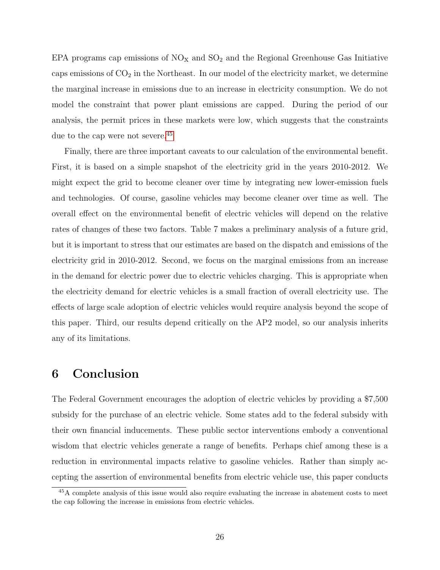EPA programs cap emissions of  $NO<sub>x</sub>$  and  $SO<sub>2</sub>$  and the Regional Greenhouse Gas Initiative caps emissions of  $CO<sub>2</sub>$  in the Northeast. In our model of the electricity market, we determine the marginal increase in emissions due to an increase in electricity consumption. We do not model the constraint that power plant emissions are capped. During the period of our analysis, the permit prices in these markets were low, which suggests that the constraints due to the cap were not severe.<sup>[45](#page-27-0)</sup>

Finally, there are three important caveats to our calculation of the environmental benefit. First, it is based on a simple snapshot of the electricity grid in the years 2010-2012. We might expect the grid to become cleaner over time by integrating new lower-emission fuels and technologies. Of course, gasoline vehicles may become cleaner over time as well. The overall effect on the environmental benefit of electric vehicles will depend on the relative rates of changes of these two factors. Table 7 makes a preliminary analysis of a future grid, but it is important to stress that our estimates are based on the dispatch and emissions of the electricity grid in 2010-2012. Second, we focus on the marginal emissions from an increase in the demand for electric power due to electric vehicles charging. This is appropriate when the electricity demand for electric vehicles is a small fraction of overall electricity use. The effects of large scale adoption of electric vehicles would require analysis beyond the scope of this paper. Third, our results depend critically on the AP2 model, so our analysis inherits any of its limitations.

## 6 Conclusion

The Federal Government encourages the adoption of electric vehicles by providing a \$7,500 subsidy for the purchase of an electric vehicle. Some states add to the federal subsidy with their own financial inducements. These public sector interventions embody a conventional wisdom that electric vehicles generate a range of benefits. Perhaps chief among these is a reduction in environmental impacts relative to gasoline vehicles. Rather than simply accepting the assertion of environmental benefits from electric vehicle use, this paper conducts

<span id="page-27-0"></span><sup>45</sup>A complete analysis of this issue would also require evaluating the increase in abatement costs to meet the cap following the increase in emissions from electric vehicles.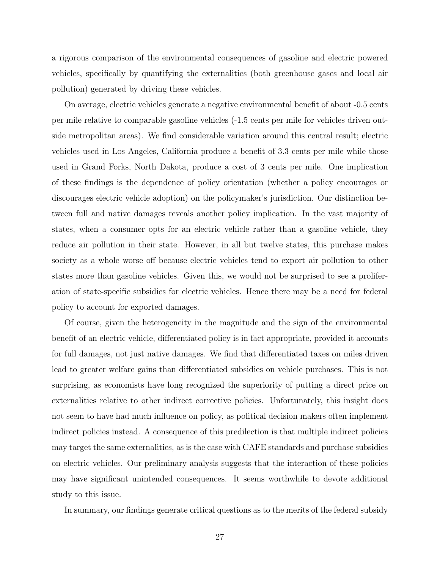a rigorous comparison of the environmental consequences of gasoline and electric powered vehicles, specifically by quantifying the externalities (both greenhouse gases and local air pollution) generated by driving these vehicles.

On average, electric vehicles generate a negative environmental benefit of about -0.5 cents per mile relative to comparable gasoline vehicles (-1.5 cents per mile for vehicles driven outside metropolitan areas). We find considerable variation around this central result; electric vehicles used in Los Angeles, California produce a benefit of 3.3 cents per mile while those used in Grand Forks, North Dakota, produce a cost of 3 cents per mile. One implication of these findings is the dependence of policy orientation (whether a policy encourages or discourages electric vehicle adoption) on the policymaker's jurisdiction. Our distinction between full and native damages reveals another policy implication. In the vast majority of states, when a consumer opts for an electric vehicle rather than a gasoline vehicle, they reduce air pollution in their state. However, in all but twelve states, this purchase makes society as a whole worse off because electric vehicles tend to export air pollution to other states more than gasoline vehicles. Given this, we would not be surprised to see a proliferation of state-specific subsidies for electric vehicles. Hence there may be a need for federal policy to account for exported damages.

Of course, given the heterogeneity in the magnitude and the sign of the environmental benefit of an electric vehicle, differentiated policy is in fact appropriate, provided it accounts for full damages, not just native damages. We find that differentiated taxes on miles driven lead to greater welfare gains than differentiated subsidies on vehicle purchases. This is not surprising, as economists have long recognized the superiority of putting a direct price on externalities relative to other indirect corrective policies. Unfortunately, this insight does not seem to have had much influence on policy, as political decision makers often implement indirect policies instead. A consequence of this predilection is that multiple indirect policies may target the same externalities, as is the case with CAFE standards and purchase subsidies on electric vehicles. Our preliminary analysis suggests that the interaction of these policies may have significant unintended consequences. It seems worthwhile to devote additional study to this issue.

In summary, our findings generate critical questions as to the merits of the federal subsidy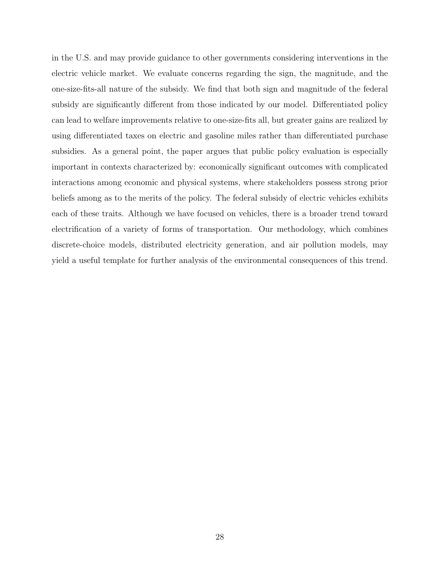in the U.S. and may provide guidance to other governments considering interventions in the electric vehicle market. We evaluate concerns regarding the sign, the magnitude, and the one-size-fits-all nature of the subsidy. We find that both sign and magnitude of the federal subsidy are significantly different from those indicated by our model. Differentiated policy can lead to welfare improvements relative to one-size-fits all, but greater gains are realized by using differentiated taxes on electric and gasoline miles rather than differentiated purchase subsidies. As a general point, the paper argues that public policy evaluation is especially important in contexts characterized by: economically significant outcomes with complicated interactions among economic and physical systems, where stakeholders possess strong prior beliefs among as to the merits of the policy. The federal subsidy of electric vehicles exhibits each of these traits. Although we have focused on vehicles, there is a broader trend toward electrification of a variety of forms of transportation. Our methodology, which combines discrete-choice models, distributed electricity generation, and air pollution models, may yield a useful template for further analysis of the environmental consequences of this trend.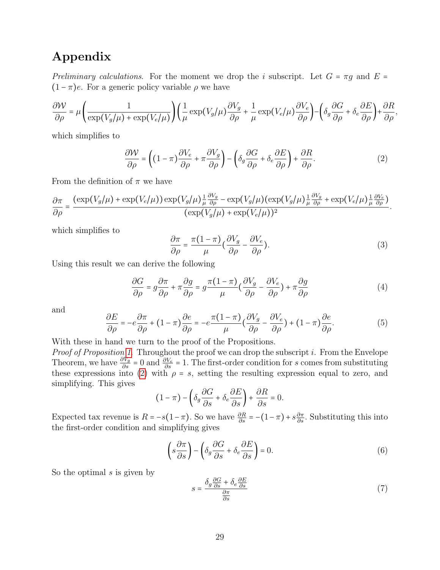## Appendix

Preliminary calculations. For the moment we drop the i subscript. Let  $G = \pi g$  and  $E =$  $(1 - \pi)e$ . For a generic policy variable  $\rho$  we have

$$
\frac{\partial \mathcal{W}}{\partial \rho} = \mu \left( \frac{1}{\exp(V_g/\mu) + \exp(V_e/\mu)} \right) \left( \frac{1}{\mu} \exp(V_g/\mu) \frac{\partial V_g}{\partial \rho} + \frac{1}{\mu} \exp(V_e/\mu) \frac{\partial V_e}{\partial \rho} \right) - \left( \delta_g \frac{\partial G}{\partial \rho} + \delta_e \frac{\partial E}{\partial \rho} \right) + \frac{\partial R}{\partial \rho},
$$

which simplifies to

<span id="page-30-0"></span>
$$
\frac{\partial W}{\partial \rho} = \left( (1 - \pi) \frac{\partial V_e}{\partial \rho} + \pi \frac{\partial V_g}{\partial \rho} \right) - \left( \delta_g \frac{\partial G}{\partial \rho} + \delta_e \frac{\partial E}{\partial \rho} \right) + \frac{\partial R}{\partial \rho}.
$$
 (2)

From the definition of  $\pi$  we have

$$
\frac{\partial \pi}{\partial \rho} = \frac{(\exp(V_g/\mu) + \exp(V_e/\mu)) \exp(V_g/\mu) \frac{1}{\mu} \frac{\partial V_g}{\partial \rho} - \exp(V_g/\mu) (\exp(V_g/\mu) \frac{1}{\mu} \frac{\partial V_g}{\partial \rho} + \exp(V_e/\mu) \frac{1}{\mu} \frac{\partial V_e}{\partial \rho})}{(\exp(V_g/\mu) + \exp(V_e/\mu))^2}.
$$

which simplifies to

<span id="page-30-3"></span>
$$
\frac{\partial \pi}{\partial \rho} = \frac{\pi (1 - \pi)}{\mu} \left( \frac{\partial V_g}{\partial \rho} - \frac{\partial V_e}{\partial \rho} \right). \tag{3}
$$

Using this result we can derive the following

<span id="page-30-1"></span>
$$
\frac{\partial G}{\partial \rho} = g \frac{\partial \pi}{\partial \rho} + \pi \frac{\partial g}{\partial \rho} = g \frac{\pi (1 - \pi)}{\mu} \left( \frac{\partial V_g}{\partial \rho} - \frac{\partial V_e}{\partial \rho} \right) + \pi \frac{\partial g}{\partial \rho}
$$
(4)

and

<span id="page-30-2"></span>
$$
\frac{\partial E}{\partial \rho} = -e \frac{\partial \pi}{\partial \rho} + (1 - \pi) \frac{\partial e}{\partial \rho} = -e \frac{\pi (1 - \pi)}{\mu} \left( \frac{\partial V_g}{\partial \rho} - \frac{\partial V_e}{\partial \rho} \right) + (1 - \pi) \frac{\partial e}{\partial \rho}.
$$
(5)

With these in hand we turn to the proof of the Propositions.

Proof of Proposition [1](#page-9-3). Throughout the proof we can drop the subscript i. From the Envelope Theorem, we have  $\frac{\partial V_g}{\partial s} = 0$  and  $\frac{\partial V_e}{\partial s} = 1$ . The first-order condition for s comes from substituting these expressions into [\(2\)](#page-30-0) with  $\rho = s$ , setting the resulting expression equal to zero, and simplifying. This gives

$$
(1 - \pi) - \left(\delta_g \frac{\partial G}{\partial s} + \delta_e \frac{\partial E}{\partial s}\right) + \frac{\partial R}{\partial s} = 0.
$$

Expected tax revenue is  $R = -s(1-\pi)$ . So we have  $\frac{\partial R}{\partial s} = -(1-\pi) + s\frac{\partial \pi}{\partial s}$ . Substituting this into the first-order condition and simplifying gives

$$
\left(s\frac{\partial\pi}{\partial s}\right) - \left(\delta_g\frac{\partial G}{\partial s} + \delta_e\frac{\partial E}{\partial s}\right) = 0.
$$
\n(6)

So the optimal  $s$  is given by

$$
s = \frac{\delta_g \frac{\partial G}{\partial s} + \delta_e \frac{\partial E}{\partial s}}{\frac{\partial \pi}{\partial s}}
$$
(7)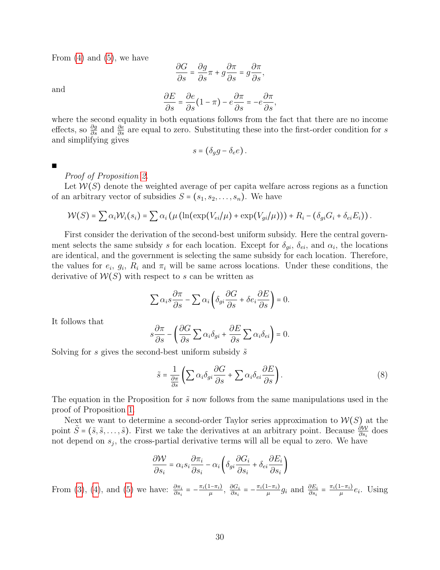From  $(4)$  and  $(5)$ , we have

$$
\frac{\partial G}{\partial s}=\frac{\partial g}{\partial s}\pi+g\frac{\partial \pi}{\partial s}=g\frac{\partial \pi}{\partial s},
$$

and

$$
\frac{\partial E}{\partial s} = \frac{\partial e}{\partial s} (1 - \pi) - e \frac{\partial \pi}{\partial s} = -e \frac{\partial \pi}{\partial s},
$$

where the second equality in both equations follows from the fact that there are no income effects, so  $\frac{\partial g}{\partial s}$  and  $\frac{\partial e}{\partial s}$  are equal to zero. Substituting these into the first-order condition for s and simplifying gives

$$
s = (\delta_g g - \delta_e e).
$$

∎

Proof of Proposition [2.](#page-10-0)

Let  $W(S)$  denote the weighted average of per capita welfare across regions as a function of an arbitrary vector of subsidies  $S = (s_1, s_2, \ldots, s_n)$ . We have

$$
\mathcal{W}(S) = \sum \alpha_i \mathcal{W}_i(s_i) = \sum \alpha_i \left( \mu \left( \ln(\exp(V_{ei}/\mu) + \exp(V_{gi}/\mu)) \right) + R_i - (\delta_{gi} G_i + \delta_{ei} E_i) \right).
$$

First consider the derivation of the second-best uniform subsidy. Here the central government selects the same subsidy s for each location. Except for  $\delta_{gi}$ ,  $\delta_{ei}$ , and  $\alpha_i$ , the locations are identical, and the government is selecting the same subsidy for each location. Therefore, the values for  $e_i$ ,  $g_i$ ,  $R_i$  and  $\pi_i$  will be same across locations. Under these conditions, the derivative of  $W(S)$  with respect to s can be written as

$$
\sum \alpha_i s \frac{\partial \pi}{\partial s} - \sum \alpha_i \left( \delta_{gi} \frac{\partial G}{\partial s} + \delta e_i \frac{\partial E}{\partial s} \right) = 0.
$$

It follows that

$$
s\frac{\partial \pi}{\partial s} - \left(\frac{\partial G}{\partial s} \sum \alpha_i \delta_{gi} + \frac{\partial E}{\partial s} \sum \alpha_i \delta_{ei}\right) = 0.
$$

Solving for s gives the second-best uniform subsidy  $\tilde{s}$ 

$$
\tilde{s} = \frac{1}{\frac{\partial \pi}{\partial s}} \left( \sum \alpha_i \delta_{gi} \frac{\partial G}{\partial s} + \sum \alpha_i \delta_{ei} \frac{\partial E}{\partial s} \right).
$$
\n(8)

The equation in the Proposition for  $\tilde{s}$  now follows from the same manipulations used in the proof of Proposition [1.](#page-9-3)

Next we want to determine a second-order Taylor series approximation to  $W(S)$  at the point  $\tilde{S} = (\tilde{s}, \tilde{s}, \dots, \tilde{s})$ . First we take the derivatives at an arbitrary point. Because  $\frac{\partial W}{\partial s_i}$  does not depend on  $s_j$ , the cross-partial derivative terms will all be equal to zero. We have

$$
\frac{\partial W}{\partial s_i} = \alpha_i s_i \frac{\partial \pi_i}{\partial s_i} - \alpha_i \left( \delta_{gi} \frac{\partial G_i}{\partial s_i} + \delta_{ei} \frac{\partial E_i}{\partial s_i} \right)
$$

From [\(3\)](#page-30-3), [\(4\)](#page-30-1), and [\(5\)](#page-30-2) we have:  $\frac{\partial \pi_i}{\partial s_i} = -\frac{\pi_i(1-\pi_i)}{\mu}, \frac{\partial G_i}{\partial s_i}$  $\frac{\partial G_i}{\partial s_i} = -\frac{\pi_i(1-\pi_i)}{\mu} g_i$  and  $\frac{\partial E_i}{\partial s_i} = \frac{\pi_i(1-\pi_i)}{\mu} e_i$ . Using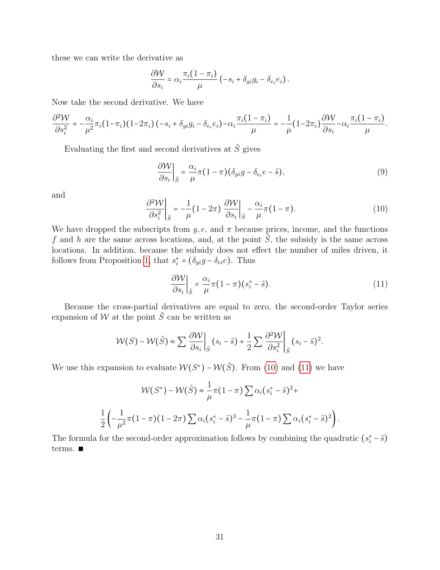these we can write the derivative as

$$
\frac{\partial \mathcal{W}}{\partial s_i} = \alpha_i \frac{\pi_i (1 - \pi_i)}{\mu} \left( -s_i + \delta_{gi} g_i - \delta_{e_i} e_i \right).
$$

Now take the second derivative. We have

$$
\frac{\partial^2 \mathcal{W}}{\partial s_i^2} = -\frac{\alpha_i}{\mu^2} \pi_i (1-\pi_i) (1-2\pi_i) (-s_i+\delta_{gi}g_i-\delta_{e_i}e_i) - \alpha_i \frac{\pi_i (1-\pi_i)}{\mu} = -\frac{1}{\mu} (1-2\pi_i) \frac{\partial \mathcal{W}}{\partial s_i} - \alpha_i \frac{\pi_i (1-\pi_i)}{\mu}.
$$

Evaluating the first and second derivatives at  $\tilde{S}$  gives

$$
\left. \frac{\partial \mathcal{W}}{\partial s_i} \right|_{\tilde{S}} = \frac{\alpha_i}{\mu} \pi (1 - \pi) (\delta_{gi} g - \delta_{e_i} e - \tilde{s}), \tag{9}
$$

and

<span id="page-32-0"></span>
$$
\left. \frac{\partial^2 \mathcal{W}}{\partial s_i^2} \right|_{\tilde{S}} = -\frac{1}{\mu} (1 - 2\pi) \left. \frac{\partial \mathcal{W}}{\partial s_i} \right|_{\tilde{S}} - \frac{\alpha_i}{\mu} \pi (1 - \pi). \tag{10}
$$

We have dropped the subscripts from  $g, e$ , and  $\pi$  because prices, income, and the functions f and h are the same across locations, and, at the point  $\tilde{S}$ , the subsidy is the same across locations. In addition, because the subsidy does not effect the number of miles driven, it follows from Proposition [1,](#page-9-3) that  $s_i^* = (\delta_{gi}g - \delta_{ei}e)$ . Thus

<span id="page-32-1"></span>
$$
\left. \frac{\partial \mathcal{W}}{\partial s_i} \right|_{\tilde{S}} = \frac{\alpha_i}{\mu} \pi (1 - \pi) (s_i^* - \tilde{s}). \tag{11}
$$

Because the cross-partial derivatives are equal to zero, the second-order Taylor series expansion of  $W$  at the point  $\tilde{S}$  can be written as

$$
\mathcal{W}(S) - \mathcal{W}(\tilde{S}) \approx \sum \left. \frac{\partial \mathcal{W}}{\partial s_i} \right|_{\tilde{S}} (s_i - \tilde{s}) + \frac{1}{2} \sum \left. \frac{\partial^2 \mathcal{W}}{\partial s_i^2} \right|_{\tilde{S}} (s_i - \tilde{s})^2.
$$

We use this expansion to evaluate  $W(S^*)$  –  $W(\tilde{S})$ . From [\(10\)](#page-32-0) and [\(11\)](#page-32-1) we have

$$
\mathcal{W}(S^*) - \mathcal{W}(\tilde{S}) \approx \frac{1}{\mu} \pi (1 - \pi) \sum \alpha_i (s_i^* - \tilde{s})^2 +
$$
  

$$
\frac{1}{2} \left( -\frac{1}{\mu^2} \pi (1 - \pi) (1 - 2\pi) \sum \alpha_i (s_i^* - \tilde{s})^3 - \frac{1}{\mu} \pi (1 - \pi) \sum \alpha_i (s_i^* - \tilde{s})^2 \right).
$$

The formula for the second-order approximation follows by combining the quadratic  $(s_i^* - \tilde{s})$ terms. ∎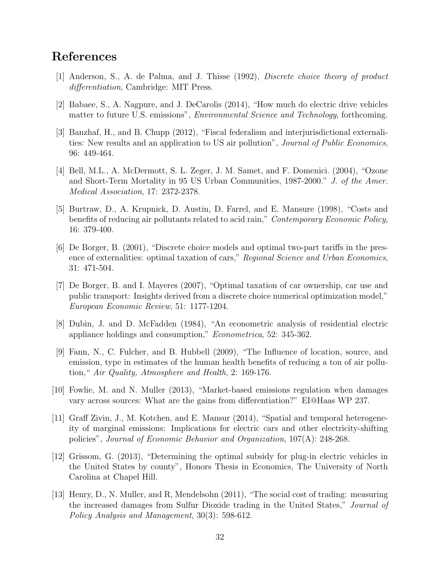## References

- [1] Anderson, S., A. de Palma, and J. Thisse (1992), Discrete choice theory of product differentiation, Cambridge: MIT Press.
- [2] Babaee, S., A. Nagpure, and J. DeCarolis (2014), "How much do electric drive vehicles matter to future U.S. emissions", *Environmental Science and Technology*, forthcoming.
- [3] Banzhaf, H., and B. Chupp (2012), "Fiscal federalism and interjurisdictional externalities: New results and an application to US air pollution", Journal of Public Economics, 96: 449-464.
- [4] Bell, M.L., A. McDermott, S. L. Zeger, J. M. Samet, and F. Domenici. (2004), "Ozone and Short-Term Mortality in 95 US Urban Communities, 1987-2000." J. of the Amer. Medical Association, 17: 2372-2378.
- [5] Burtraw, D., A. Krupnick, D. Austin, D. Farrel, and E. Mansure (1998), "Costs and benefits of reducing air pollutants related to acid rain," Contemporary Economic Policy, 16: 379-400.
- [6] De Borger, B. (2001), "Discrete choice models and optimal two-part tariffs in the presence of externalities: optimal taxation of cars," Regional Science and Urban Economics, 31: 471-504.
- [7] De Borger, B. and I. Mayeres (2007), "Optimal taxation of car ownership, car use and public transport: Insights derived from a discrete choice numerical optimization model," European Economic Review, 51: 1177-1204.
- [8] Dubin, J. and D. McFadden (1984), "An econometric analysis of residential electric appliance holdings and consumption," Econometrica, 52: 345-362.
- [9] Fann, N., C. Fulcher, and B. Hubbell (2009), "The Influence of location, source, and emission, type in estimates of the human health benefits of reducing a ton of air pollution," Air Quality, Atmosphere and Health, 2: 169-176.
- [10] Fowlie, M. and N. Muller (2013), "Market-based emissions regulation when damages vary across sources: What are the gains from differentiation?" EI@Haas WP 237.
- [11] Graff Zivin, J., M. Kotchen, and E. Mansur (2014), "Spatial and temporal heterogeneity of marginal emissions: Implications for electric cars and other electricity-shifting policies", Journal of Economic Behavior and Organization, 107(A): 248-268.
- [12] Grissom, G. (2013), "Determining the optimal subsidy for plug-in electric vehicles in the United States by county", Honors Thesis in Economics, The University of North Carolina at Chapel Hill.
- [13] Henry, D., N. Muller, and R, Mendelsohn (2011), "The social cost of trading: measuring the increased damages from Sulfur Dioxide trading in the United States," Journal of Policy Analysis and Management, 30(3): 598-612.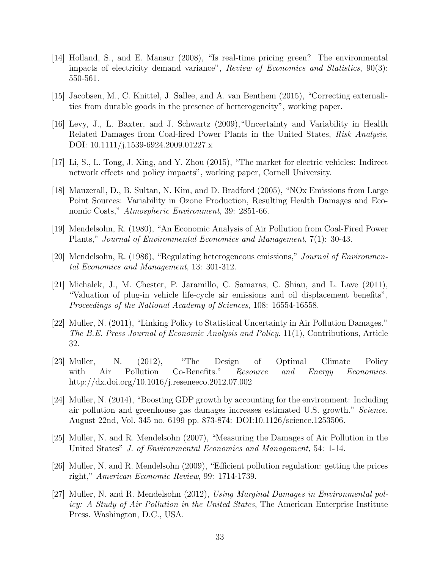- [14] Holland, S., and E. Mansur (2008), "Is real-time pricing green? The environmental impacts of electricity demand variance", Review of Economics and Statistics, 90(3): 550-561.
- [15] Jacobsen, M., C. Knittel, J. Sallee, and A. van Benthem (2015), "Correcting externalities from durable goods in the presence of herterogeneity", working paper.
- [16] Levy, J., L. Baxter, and J. Schwartz (2009),"Uncertainty and Variability in Health Related Damages from Coal-fired Power Plants in the United States, Risk Analysis. DOI: 10.1111/j.1539-6924.2009.01227.x
- [17] Li, S., L. Tong, J. Xing, and Y. Zhou (2015), "The market for electric vehicles: Indirect network effects and policy impacts", working paper, Cornell University.
- [18] Mauzerall, D., B. Sultan, N. Kim, and D. Bradford (2005), "NOx Emissions from Large Point Sources: Variability in Ozone Production, Resulting Health Damages and Economic Costs," Atmospheric Environment, 39: 2851-66.
- [19] Mendelsohn, R. (1980), "An Economic Analysis of Air Pollution from Coal-Fired Power Plants," Journal of Environmental Economics and Management, 7(1): 30-43.
- [20] Mendelsohn, R. (1986), "Regulating heterogeneous emissions," Journal of Environmental Economics and Management, 13: 301-312.
- [21] Michalek, J., M. Chester, P. Jaramillo, C. Samaras, C. Shiau, and L. Lave (2011), "Valuation of plug-in vehicle life-cycle air emissions and oil displacement benefits", Proceedings of the National Academy of Sciences, 108: 16554-16558.
- [22] Muller, N. (2011), "Linking Policy to Statistical Uncertainty in Air Pollution Damages." The B.E. Press Journal of Economic Analysis and Policy. 11(1), Contributions, Article 32.
- [23] Muller, N. (2012), "The Design of Optimal Climate Policy with Air Pollution Co-Benefits." Resource and Energy Economics. http://dx.doi.org/10.1016/j.reseneeco.2012.07.002
- [24] Muller, N. (2014), "Boosting GDP growth by accounting for the environment: Including air pollution and greenhouse gas damages increases estimated U.S. growth." Science. August 22nd, Vol. 345 no. 6199 pp. 873-874: DOI:10.1126/science.1253506.
- [25] Muller, N. and R. Mendelsohn (2007), "Measuring the Damages of Air Pollution in the United States" J. of Environmental Economics and Management, 54: 1-14.
- [26] Muller, N. and R. Mendelsohn (2009), "Efficient pollution regulation: getting the prices right," American Economic Review, 99: 1714-1739.
- [27] Muller, N. and R. Mendelsohn (2012), Using Marginal Damages in Environmental policy: A Study of Air Pollution in the United States, The American Enterprise Institute Press. Washington, D.C., USA.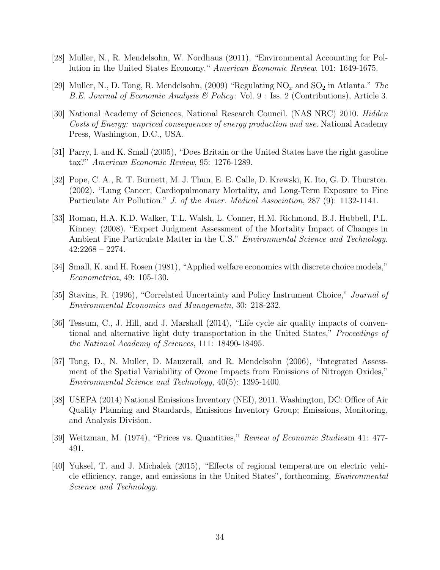- [28] Muller, N., R. Mendelsohn, W. Nordhaus (2011), "Environmental Accounting for Pollution in the United States Economy." American Economic Review. 101: 1649-1675.
- [29] Muller, N., D. Tong, R. Mendelsohn, (2009) "Regulating  $NO_x$  and  $SO_2$  in Atlanta." The B.E. Journal of Economic Analysis & Policy: Vol. 9 : Iss. 2 (Contributions), Article 3.
- [30] National Academy of Sciences, National Research Council. (NAS NRC) 2010. Hidden Costs of Energy: unpriced consequences of energy production and use. National Academy Press, Washington, D.C., USA.
- [31] Parry, I. and K. Small (2005), "Does Britain or the United States have the right gasoline tax?" American Economic Review, 95: 1276-1289.
- [32] Pope, C. A., R. T. Burnett, M. J. Thun, E. E. Calle, D. Krewski, K. Ito, G. D. Thurston. (2002). "Lung Cancer, Cardiopulmonary Mortality, and Long-Term Exposure to Fine Particulate Air Pollution." J. of the Amer. Medical Association, 287 (9): 1132-1141.
- [33] Roman, H.A. K.D. Walker, T.L. Walsh, L. Conner, H.M. Richmond, B.J. Hubbell, P.L. Kinney. (2008). "Expert Judgment Assessment of the Mortality Impact of Changes in Ambient Fine Particulate Matter in the U.S." *Environmental Science and Technology*. 42:2268 – 2274.
- [34] Small, K. and H. Rosen (1981), "Applied welfare economics with discrete choice models," Econometrica, 49: 105-130.
- [35] Stavins, R. (1996), "Correlated Uncertainty and Policy Instrument Choice," Journal of Environmental Economics and Managemetn, 30: 218-232.
- [36] Tessum, C., J. Hill, and J. Marshall (2014), "Life cycle air quality impacts of conventional and alternative light duty transportation in the United States," Proceedings of the National Academy of Sciences, 111: 18490-18495.
- [37] Tong, D., N. Muller, D. Mauzerall, and R. Mendelsohn (2006), "Integrated Assessment of the Spatial Variability of Ozone Impacts from Emissions of Nitrogen Oxides," Environmental Science and Technology, 40(5): 1395-1400.
- [38] USEPA (2014) National Emissions Inventory (NEI), 2011. Washington, DC: Office of Air Quality Planning and Standards, Emissions Inventory Group; Emissions, Monitoring, and Analysis Division.
- [39] Weitzman, M. (1974), "Prices vs. Quantities," Review of Economic Studiesm 41: 477- 491.
- [40] Yuksel, T. and J. Michalek (2015), "Effects of regional temperature on electric vehicle efficiency, range, and emissions in the United States", forthcoming, Environmental Science and Technology.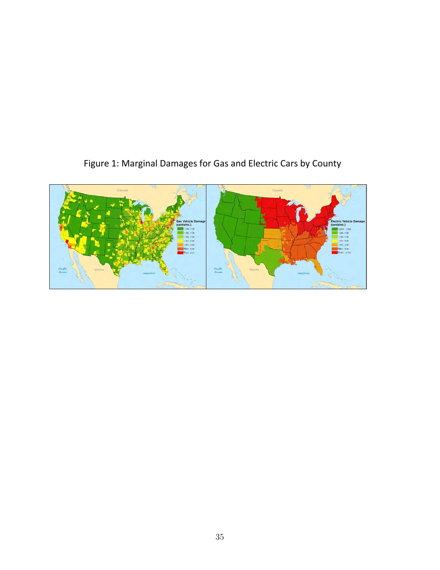

# Figure 1: Marginal Damages for Gas and Electric Cars by County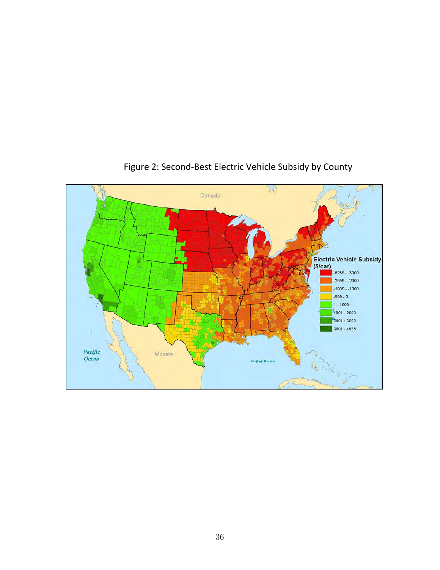

## Figure 2: Second-Best Electric Vehicle Subsidy by County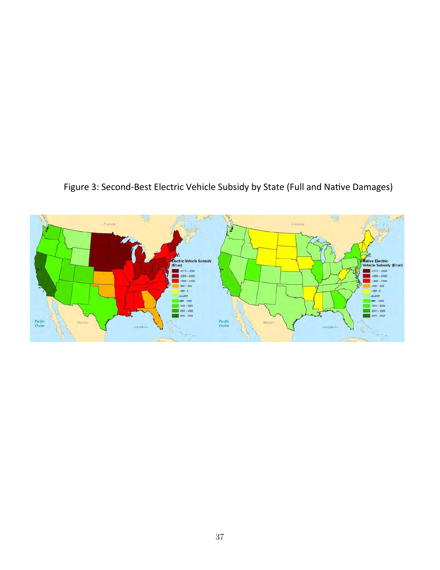![](_page_38_Figure_0.jpeg)

![](_page_38_Figure_1.jpeg)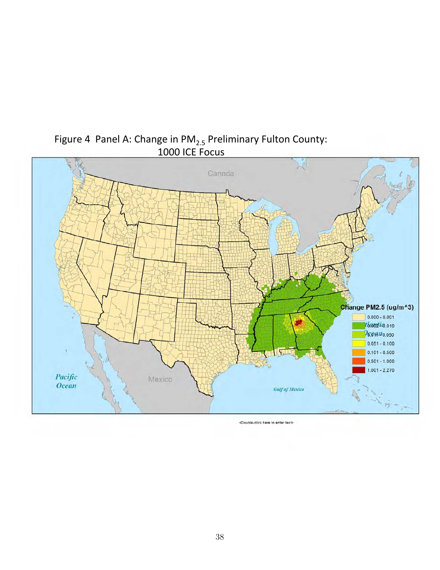![](_page_39_Figure_0.jpeg)

Figure 4 Panel A: Change in  $PM_{2.5}$  Preliminary Fulton County: 1000 ICE Focus

<Double-click here to enter text>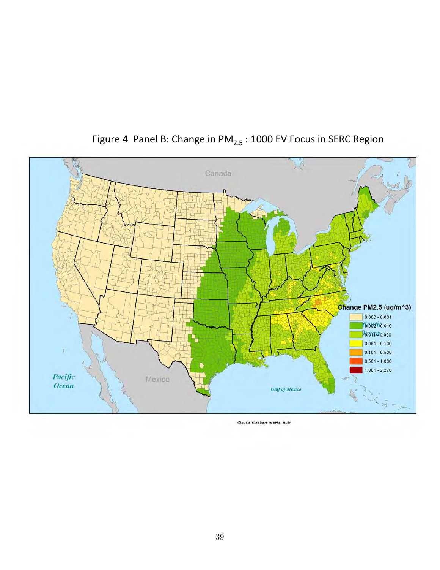![](_page_40_Figure_0.jpeg)

# Figure 4 Panel B: Change in  $PM_{2.5}$ : 1000 EV Focus in SERC Region

<Double-click here to enter text>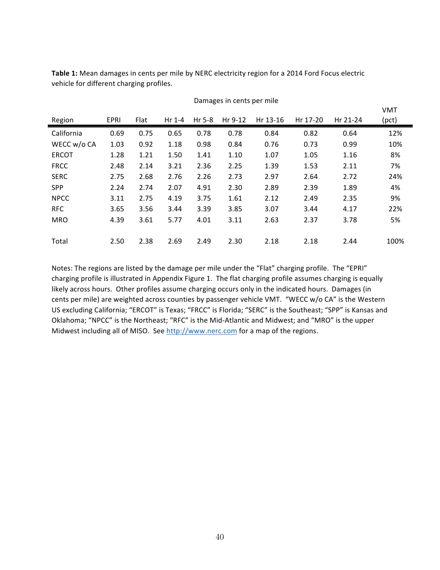Table 1: Mean damages in cents per mile by NERC electricity region for a 2014 Ford Focus electric vehicle for different charging profiles.

| Region       | EPRI | Flat | Hr 1-4 | Hr 5-8 | Hr 9-12 | Hr 13-16 | Hr 17-20 | Hr 21-24 | <b>VMT</b><br>(pct) |
|--------------|------|------|--------|--------|---------|----------|----------|----------|---------------------|
| California   | 0.69 | 0.75 | 0.65   | 0.78   | 0.78    | 0.84     | 0.82     | 0.64     | 12%                 |
| WECC w/o CA  | 1.03 | 0.92 | 1.18   | 0.98   | 0.84    | 0.76     | 0.73     | 0.99     | 10%                 |
| <b>ERCOT</b> | 1.28 | 1.21 | 1.50   | 1.41   | 1.10    | 1.07     | 1.05     | 1.16     | 8%                  |
| <b>FRCC</b>  | 2.48 | 2.14 | 3.21   | 2.36   | 2.25    | 1.39     | 1.53     | 2.11     | 7%                  |
| <b>SERC</b>  | 2.75 | 2.68 | 2.76   | 2.26   | 2.73    | 2.97     | 2.64     | 2.72     | 24%                 |
| <b>SPP</b>   | 2.24 | 2.74 | 2.07   | 4.91   | 2.30    | 2.89     | 2.39     | 1.89     | 4%                  |
| <b>NPCC</b>  | 3.11 | 2.75 | 4.19   | 3.75   | 1.61    | 2.12     | 2.49     | 2.35     | 9%                  |
| <b>RFC</b>   | 3.65 | 3.56 | 3.44   | 3.39   | 3.85    | 3.07     | 3.44     | 4.17     | 22%                 |
| <b>MRO</b>   | 4.39 | 3.61 | 5.77   | 4.01   | 3.11    | 2.63     | 2.37     | 3.78     | 5%                  |
|              |      |      |        |        |         |          |          |          |                     |
| Total        | 2.50 | 2.38 | 2.69   | 2.49   | 2.30    | 2.18     | 2.18     | 2.44     | 100%                |

Damages in cents per mile

Notes: The regions are listed by the damage per mile under the "Flat" charging profile. The "EPRI" charging profile is illustrated in Appendix Figure 1. The flat charging profile assumes charging is equally likely across hours. Other profiles assume charging occurs only in the indicated hours. Damages (in cents per mile) are weighted across counties by passenger vehicle VMT. "WECC w/o CA" is the Western US excluding California; "ERCOT" is Texas; "FRCC" is Florida; "SERC" is the Southeast; "SPP" is Kansas and Oklahoma; "NPCC" is the Northeast; "RFC" is the Mid-Atlantic and Midwest; and "MRO" is the upper Midwest including all of MISO. See http://www.nerc.com for a map of the regions.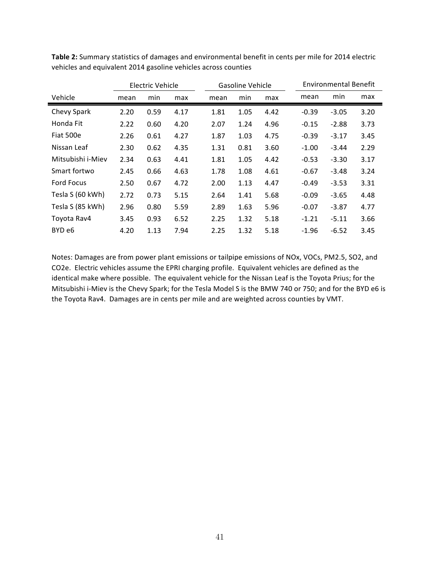|                   | Electric Vehicle |      |      |      | Gasoline Vehicle |      | Environmental Benefit |         |      |  |
|-------------------|------------------|------|------|------|------------------|------|-----------------------|---------|------|--|
| Vehicle           | mean             | min  | max  | mean | min              | max  | mean                  | min     | max  |  |
| Chevy Spark       | 2.20             | 0.59 | 4.17 | 1.81 | 1.05             | 4.42 | $-0.39$               | $-3.05$ | 3.20 |  |
| Honda Fit         | 2.22             | 0.60 | 4.20 | 2.07 | 1.24             | 4.96 | $-0.15$               | $-2.88$ | 3.73 |  |
| Fiat 500e         | 2.26             | 0.61 | 4.27 | 1.87 | 1.03             | 4.75 | $-0.39$               | $-3.17$ | 3.45 |  |
| Nissan Leaf       | 2.30             | 0.62 | 4.35 | 1.31 | 0.81             | 3.60 | $-1.00$               | $-3.44$ | 2.29 |  |
| Mitsubishi i-Miev | 2.34             | 0.63 | 4.41 | 1.81 | 1.05             | 4.42 | $-0.53$               | $-3.30$ | 3.17 |  |
| Smart fortwo      | 2.45             | 0.66 | 4.63 | 1.78 | 1.08             | 4.61 | $-0.67$               | $-3.48$ | 3.24 |  |
| <b>Ford Focus</b> | 2.50             | 0.67 | 4.72 | 2.00 | 1.13             | 4.47 | $-0.49$               | $-3.53$ | 3.31 |  |
| Tesla S (60 kWh)  | 2.72             | 0.73 | 5.15 | 2.64 | 1.41             | 5.68 | $-0.09$               | $-3.65$ | 4.48 |  |
| Tesla S (85 kWh)  | 2.96             | 0.80 | 5.59 | 2.89 | 1.63             | 5.96 | $-0.07$               | $-3.87$ | 4.77 |  |
| Toyota Rav4       | 3.45             | 0.93 | 6.52 | 2.25 | 1.32             | 5.18 | $-1.21$               | $-5.11$ | 3.66 |  |
| BYD e6            | 4.20             | 1.13 | 7.94 | 2.25 | 1.32             | 5.18 | $-1.96$               | $-6.52$ | 3.45 |  |

Table 2: Summary statistics of damages and environmental benefit in cents per mile for 2014 electric vehicles and equivalent 2014 gasoline vehicles across counties

Notes: Damages are from power plant emissions or tailpipe emissions of NOx, VOCs, PM2.5, SO2, and CO2e. Electric vehicles assume the EPRI charging profile. Equivalent vehicles are defined as the identical make where possible. The equivalent vehicle for the Nissan Leaf is the Toyota Prius; for the Mitsubishi i-Miev is the Chevy Spark; for the Tesla Model S is the BMW 740 or 750; and for the BYD e6 is the Toyota Rav4. Damages are in cents per mile and are weighted across counties by VMT.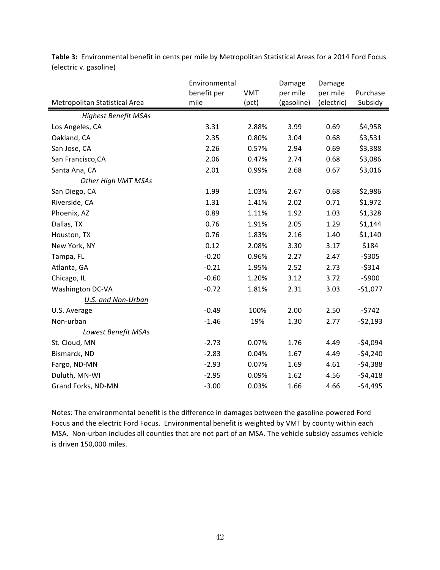|                               | Environmental<br><b>VMT</b> |       | Damage                 | Damage                 |                     |
|-------------------------------|-----------------------------|-------|------------------------|------------------------|---------------------|
| Metropolitan Statistical Area | benefit per<br>mile         | (pct) | per mile<br>(gasoline) | per mile<br>(electric) | Purchase<br>Subsidy |
| <b>Highest Benefit MSAs</b>   |                             |       |                        |                        |                     |
| Los Angeles, CA               | 3.31                        | 2.88% | 3.99                   | 0.69                   | \$4,958             |
| Oakland, CA                   | 2.35                        | 0.80% | 3.04                   | 0.68                   | \$3,531             |
| San Jose, CA                  | 2.26                        | 0.57% | 2.94                   | 0.69                   | \$3,388             |
| San Francisco, CA             | 2.06                        | 0.47% | 2.74                   | 0.68                   | \$3,086             |
| Santa Ana, CA                 | 2.01                        | 0.99% | 2.68                   | 0.67                   | \$3,016             |
| Other High VMT MSAs           |                             |       |                        |                        |                     |
| San Diego, CA                 | 1.99                        | 1.03% | 2.67                   | 0.68                   | \$2,986             |
| Riverside, CA                 | 1.31                        | 1.41% | 2.02                   | 0.71                   | \$1,972             |
| Phoenix, AZ                   | 0.89                        | 1.11% | 1.92                   | 1.03                   | \$1,328             |
| Dallas, TX                    | 0.76                        | 1.91% | 2.05                   | 1.29                   | \$1,144             |
| Houston, TX                   | 0.76                        | 1.83% | 2.16                   | 1.40                   | \$1,140             |
| New York, NY                  | 0.12                        | 2.08% | 3.30                   | 3.17                   | \$184               |
| Tampa, FL                     | $-0.20$                     | 0.96% | 2.27                   | 2.47                   | $-5305$             |
| Atlanta, GA                   | $-0.21$                     | 1.95% | 2.52                   | 2.73                   | $-5314$             |
| Chicago, IL                   | $-0.60$                     | 1.20% | 3.12                   | 3.72                   | $-5900$             |
| Washington DC-VA              | $-0.72$                     | 1.81% | 2.31                   | 3.03                   | $-$1,077$           |
| U.S. and Non-Urban            |                             |       |                        |                        |                     |
| U.S. Average                  | $-0.49$                     | 100%  | 2.00                   | 2.50                   | $-5742$             |
| Non-urban                     | $-1.46$                     | 19%   | 1.30                   | 2.77                   | $-52,193$           |
| Lowest Benefit MSAs           |                             |       |                        |                        |                     |
| St. Cloud, MN                 | $-2.73$                     | 0.07% | 1.76                   | 4.49                   | $-54,094$           |
| Bismarck, ND                  | $-2.83$                     | 0.04% | 1.67                   | 4.49                   | $-54,240$           |
| Fargo, ND-MN                  | $-2.93$                     | 0.07% | 1.69                   | 4.61                   | $-54,388$           |
| Duluth, MN-WI                 | $-2.95$                     | 0.09% | 1.62                   | 4.56                   | $-54,418$           |
| Grand Forks, ND-MN            | $-3.00$                     | 0.03% | 1.66                   | 4.66                   | $-54,495$           |

Table 3: Environmental benefit in cents per mile by Metropolitan Statistical Areas for a 2014 Ford Focus (electric v. gasoline)

Notes: The environmental benefit is the difference in damages between the gasoline-powered Ford Focus and the electric Ford Focus. Environmental benefit is weighted by VMT by county within each MSA. Non-urban includes all counties that are not part of an MSA. The vehicle subsidy assumes vehicle is driven 150,000 miles.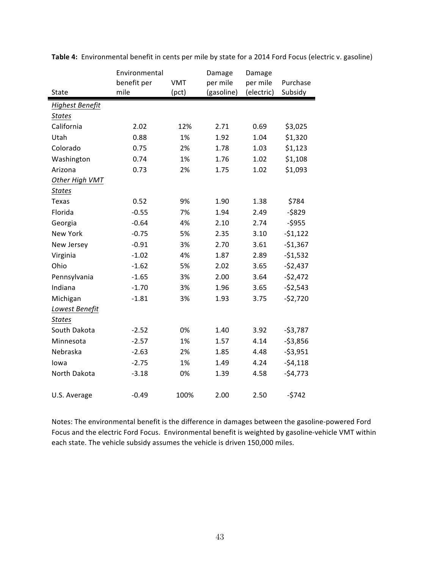|                 | Environmental |            | Damage     | Damage     |           |
|-----------------|---------------|------------|------------|------------|-----------|
|                 | benefit per   | <b>VMT</b> | per mile   | per mile   | Purchase  |
| State           | mile          | (pct)      | (gasoline) | (electric) | Subsidy   |
| Highest Benefit |               |            |            |            |           |
| <b>States</b>   |               |            |            |            |           |
| California      | 2.02          | 12%        | 2.71       | 0.69       | \$3,025   |
| Utah            | 0.88          | 1%         | 1.92       | 1.04       | \$1,320   |
| Colorado        | 0.75          | 2%         | 1.78       | 1.03       | \$1,123   |
| Washington      | 0.74          | 1%         | 1.76       | 1.02       | \$1,108   |
| Arizona         | 0.73          | 2%         | 1.75       | 1.02       | \$1,093   |
| Other High VMT  |               |            |            |            |           |
| <b>States</b>   |               |            |            |            |           |
| Texas           | 0.52          | 9%         | 1.90       | 1.38       | \$784     |
| Florida         | $-0.55$       | 7%         | 1.94       | 2.49       | $-5829$   |
| Georgia         | $-0.64$       | 4%         | 2.10       | 2.74       | $-5955$   |
| New York        | $-0.75$       | 5%         | 2.35       | 3.10       | $-51,122$ |
| New Jersey      | $-0.91$       | 3%         | 2.70       | 3.61       | $-$1,367$ |
| Virginia        | $-1.02$       | 4%         | 1.87       | 2.89       | $-51,532$ |
| Ohio            | $-1.62$       | 5%         | 2.02       | 3.65       | $-52,437$ |
| Pennsylvania    | $-1.65$       | 3%         | 2.00       | 3.64       | $-52,472$ |
| Indiana         | $-1.70$       | 3%         | 1.96       | 3.65       | $-52,543$ |
| Michigan        | $-1.81$       | 3%         | 1.93       | 3.75       | $-52,720$ |
| Lowest Benefit  |               |            |            |            |           |
| <b>States</b>   |               |            |            |            |           |
| South Dakota    | $-2.52$       | 0%         | 1.40       | 3.92       | $-53,787$ |
| Minnesota       | $-2.57$       | 1%         | 1.57       | 4.14       | $-53,856$ |
| Nebraska        | $-2.63$       | 2%         | 1.85       | 4.48       | $-53,951$ |
| lowa            | $-2.75$       | 1%         | 1.49       | 4.24       | $-54,118$ |
| North Dakota    | $-3.18$       | 0%         | 1.39       | 4.58       | $-54,773$ |
|                 |               |            |            |            |           |
| U.S. Average    | $-0.49$       | 100%       | 2.00       | 2.50       | $-5742$   |

Table 4: Environmental benefit in cents per mile by state for a 2014 Ford Focus (electric v. gasoline)

Notes: The environmental benefit is the difference in damages between the gasoline-powered Ford Focus and the electric Ford Focus. Environmental benefit is weighted by gasoline-vehicle VMT within each state. The vehicle subsidy assumes the vehicle is driven 150,000 miles.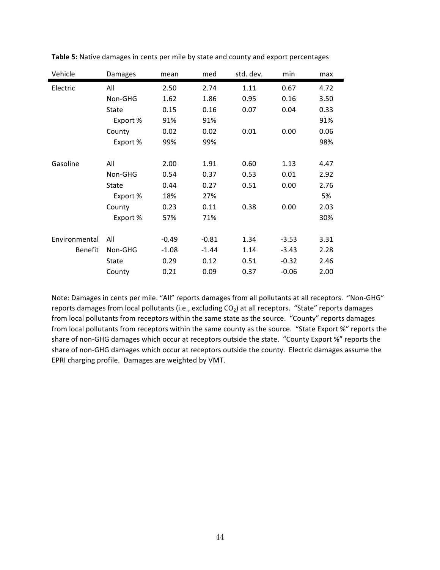| Vehicle        | Damages  | mean    | med     | std. dev. | min     | max  |
|----------------|----------|---------|---------|-----------|---------|------|
| Electric       | All      | 2.50    | 2.74    | 1.11      | 0.67    | 4.72 |
|                | Non-GHG  | 1.62    | 1.86    | 0.95      | 0.16    | 3.50 |
|                | State    | 0.15    | 0.16    | 0.07      | 0.04    | 0.33 |
|                | Export % | 91%     | 91%     |           |         | 91%  |
|                | County   | 0.02    | 0.02    | 0.01      | 0.00    | 0.06 |
|                | Export % | 99%     | 99%     |           |         | 98%  |
|                |          |         |         |           |         |      |
| Gasoline       | All      | 2.00    | 1.91    | 0.60      | 1.13    | 4.47 |
|                | Non-GHG  | 0.54    | 0.37    | 0.53      | 0.01    | 2.92 |
|                | State    | 0.44    | 0.27    | 0.51      | 0.00    | 2.76 |
|                | Export % | 18%     | 27%     |           |         | 5%   |
|                | County   | 0.23    | 0.11    | 0.38      | 0.00    | 2.03 |
|                | Export % | 57%     | 71%     |           |         | 30%  |
|                |          |         |         |           |         |      |
| Environmental  | All      | $-0.49$ | $-0.81$ | 1.34      | $-3.53$ | 3.31 |
| <b>Benefit</b> | Non-GHG  | $-1.08$ | $-1.44$ | 1.14      | $-3.43$ | 2.28 |
|                | State    | 0.29    | 0.12    | 0.51      | $-0.32$ | 2.46 |
|                | County   | 0.21    | 0.09    | 0.37      | $-0.06$ | 2.00 |

**Table 5:** Native damages in cents per mile by state and county and export percentages

Note: Damages in cents per mile. "All" reports damages from all pollutants at all receptors. "Non-GHG" reports damages from local pollutants (i.e., excluding  $CO<sub>2</sub>$ ) at all receptors. "State" reports damages from local pollutants from receptors within the same state as the source. "County" reports damages from local pollutants from receptors within the same county as the source. "State Export %" reports the share of non-GHG damages which occur at receptors outside the state. "County Export %" reports the share of non-GHG damages which occur at receptors outside the county. Electric damages assume the EPRI charging profile. Damages are weighted by VMT.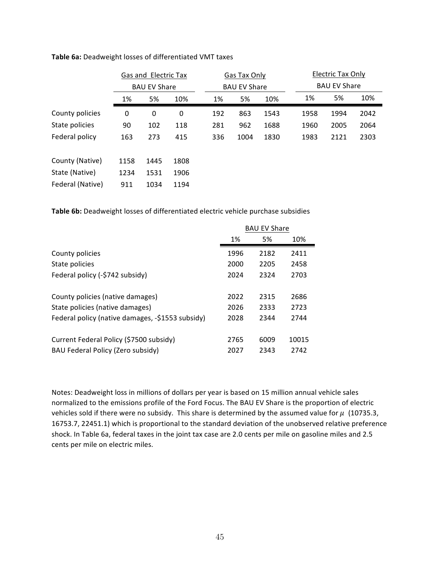|                  | Gas and Electric Tax<br><b>BAU EV Share</b> |      |      |  | Gas Tax Only<br><b>BAU EV Share</b> |      |      | <b>Electric Tax Only</b><br><b>BAU EV Share</b> |      |      |      |
|------------------|---------------------------------------------|------|------|--|-------------------------------------|------|------|-------------------------------------------------|------|------|------|
|                  |                                             |      |      |  |                                     |      |      |                                                 |      |      |      |
|                  | 1%                                          | 5%   | 10%  |  | 1%                                  | 5%   | 10%  |                                                 | 1%   | 5%   | 10%  |
| County policies  | 0                                           | 0    | 0    |  | 192                                 | 863  | 1543 |                                                 | 1958 | 1994 | 2042 |
| State policies   | 90                                          | 102  | 118  |  | 281                                 | 962  | 1688 |                                                 | 1960 | 2005 | 2064 |
| Federal policy   | 163                                         | 273  | 415  |  | 336                                 | 1004 | 1830 |                                                 | 1983 | 2121 | 2303 |
| County (Native)  | 1158                                        | 1445 | 1808 |  |                                     |      |      |                                                 |      |      |      |
| State (Native)   | 1234                                        | 1531 | 1906 |  |                                     |      |      |                                                 |      |      |      |
| Federal (Native) | 911                                         | 1034 | 1194 |  |                                     |      |      |                                                 |      |      |      |

Table 6a: Deadweight losses of differentiated VMT taxes

Table 6b: Deadweight losses of differentiated electric vehicle purchase subsidies

|                                                  |      | <b>BAU EV Share</b> |       |
|--------------------------------------------------|------|---------------------|-------|
|                                                  | 1%   | 5%                  | 10%   |
| County policies                                  | 1996 | 2182                | 2411  |
| State policies                                   | 2000 | 2205                | 2458  |
| Federal policy (-\$742 subsidy)                  | 2024 | 2324                | 2703  |
| County policies (native damages)                 | 2022 | 2315                | 2686  |
| State policies (native damages)                  | 2026 | 2333                | 2723  |
| Federal policy (native damages, -\$1553 subsidy) | 2028 | 2344                | 2744  |
| Current Federal Policy (\$7500 subsidy)          | 2765 | 6009                | 10015 |
| BAU Federal Policy (Zero subsidy)                | 2027 | 2343                | 2742  |

Notes: Deadweight loss in millions of dollars per year is based on 15 million annual vehicle sales normalized to the emissions profile of the Ford Focus. The BAU EV Share is the proportion of electric vehicles sold if there were no subsidy. This share is determined by the assumed value for  $\mu$  (10735.3, 16753.7, 22451.1) which is proportional to the standard deviation of the unobserved relative preference shock. In Table 6a, federal taxes in the joint tax case are 2.0 cents per mile on gasoline miles and 2.5 cents per mile on electric miles.